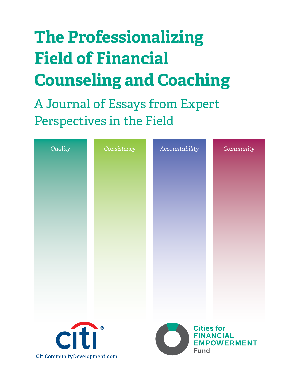# **The Professionalizing Field of Financial Counseling and Coaching**

A Journal of Essays from Expert Perspectives in the Field

| Quality                      | Consistency | Accountability |                                  | Community                              |
|------------------------------|-------------|----------------|----------------------------------|----------------------------------------|
|                              |             |                |                                  |                                        |
|                              |             |                |                                  |                                        |
|                              |             |                |                                  |                                        |
|                              |             |                |                                  |                                        |
|                              |             |                |                                  |                                        |
|                              |             |                |                                  |                                        |
|                              |             |                |                                  |                                        |
|                              |             |                |                                  |                                        |
|                              |             |                |                                  |                                        |
|                              |             |                |                                  |                                        |
| citi                         |             |                | <b>Cities for</b><br><b>Fund</b> | <b>FINANCIAL</b><br><b>EMPOWERMENT</b> |
| CitiCommunityDevelopment.com |             |                |                                  |                                        |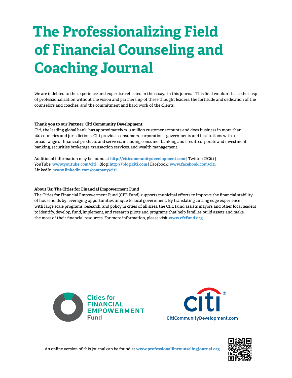# **The Professionalizing Field of Financial Counseling and Coaching Journal**

We are indebted to the experience and expertise reflected in the essays in this journal. This field wouldn't be at the cusp of professionalization without the vision and partnership of these thought leaders, the fortitude and dedication of the counselors and coaches, and the commitment and hard work of the clients.

#### **Thank you to our Partner: Citi Community Development**

Citi, the leading global bank, has approximately 200 million customer accounts and does business in more than 160 countries and jurisdictions. Citi provides consumers, corporations, governments and institutions with a broad range of financial products and services, including consumer banking and credit, corporate and investment banking, securities brokerage, transaction services, and wealth management.

Additional information may be found at **<http://citicommunitydevelopment.com>** | Twitter: @Citi | YouTube: **<www.youtube.com/citi>** | Blog: **<http://blog.citi.com>** | Facebook: **<www.facebook.com/citi>** | LinkedIn: **<www.linkedin.com/company/citi>**

#### **About Us: The Cities for Financial Empowerment Fund**

The Cities for Financial Empowerment Fund (CFE Fund) supports municipal efforts to improve the financial stability of households by leveraging opportunities unique to local government. By translating cutting edge experience with large scale programs, research, and policy in cities of all sizes, the CFE Fund assists mayors and other local leaders to identify, develop, fund, implement, and research pilots and programs that help families build assets and make the most of their financial resources. For more information, please visit **<www.cfefund.org>**.





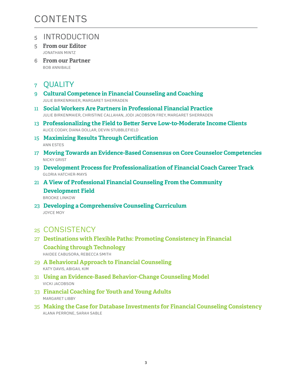## **CONTENTS**

### 5 INTRODUCTION

- 5 **From our Editor** Jonathan Mintz
- 6 **From our Partner** Bob Annibale

## 7 QUALITY

- 9 **Cultural Competence in Financial Counseling and Coaching** Julie Birkenmaier, Margaret Sherraden
- 11 **Social Workers Are Partners in Professional Financial Practice** Julie Birkenmaier, Christine Callahan, Jodi Jacobson Frey, Margaret Sherraden
- 13 **Professionalizing the Field to Better Serve Low-to-Moderate Income Clients** Alice Coday, Diana Dollar, Devin Stubblefield
- 15 **Maximizing Results Through Certification** Ann Estes
- 17 **Moving Towards an Evidence-Based Consensus on Core Counselor Competencies** NickY Grist
- 19 **Development Process for Professionalization of Financial Coach Career Track** Gloria Hatcher-Mays
- 21 **A View of Professional Financial Counseling From the Community Development Field**

Brooke Linkow

23 **Developing a Comprehensive Counseling Curriculum** Joyce Moy

## 25 CONSISTENCY

- 27 **Destinations with Flexible Paths: Promoting Consistency in Financial Coaching through Technology** Haidee Cabusora, Rebecca Smith
- 29 **A Behavioral Approach to Financial Counseling** Katy Davis, Abigail Kim
- 31 **Using an Evidence-Based Behavior-Change Counseling Model** Vicki Jacobson
- 33 **Financial Coaching for Youth and Young Adults** Margaret Libby
- 35 **Making the Case for Database Investments for Financial Counseling Consistency** Alana Perrone, Sarah Sable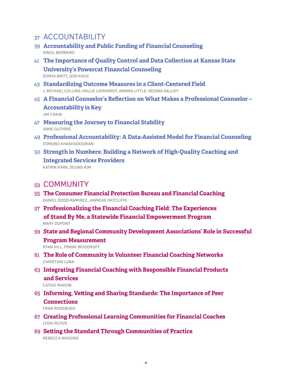### 37 ACCOUNTABILITY

- 39 **Accountability and Public Funding of Financial Counseling** Virgil Bernero
- 41 **The Importance of Quality Control and Data Collection at Kansas State University's Powercat Financial Counseling** Sonya Britt, Jodi Kaus
- 43 **Standardizing Outcome Measures in a Client-Centered Field** J. Michael Collins, Hallie Lienhardt, Annika Little, Regina Salliey
- 45 **A Financial Counselor's Reflection on What Makes a Professional Counselor Accountability is Key**

Jim Crain

- 47 **Measuring the Journey to Financial Stability** Anne Guthrie
- 49 **Professional Accountability: A Data-Assisted Model for Financial Counseling** Edmund Khashadourian
- 50 **Strength in Numbers: Building a Network of High-Quality Coaching and Integrated Services Providers** Katrin KÄrk, Seung Kim

### 53 COMMUNITY

- 55 **The Consumer Financial Protection Bureau and Financial Coaching** Daniel Dodd-Ramirez, Janneke Ratcliffe
- 57 **Professionalizing the Financial Coaching Field: The Experiences of \$tand By Me, a Statewide Financial Empowerment Program** Mary Dupont
- 59 **State and Regional Community Development Associations' Role in Successful Program Measurement**

Ryan Hill, Frank Woodruff

- 61 **The Role of Community in Volunteer Financial Coaching Networks** Christian Luna
- 63 **Integrating Financial Coaching with Responsible Financial Products and Services**

CATHIE MAHON

65 **Informing, Vetting and Sharing Standards: The Importance of Peer Connections**

Fran Rosebush

- 67 **Creating Professional Learning Communities for Financial Coaches** Lydia Ruter
- 69 **Setting the Standard Through Communities of Practice** Rebecca Wiggins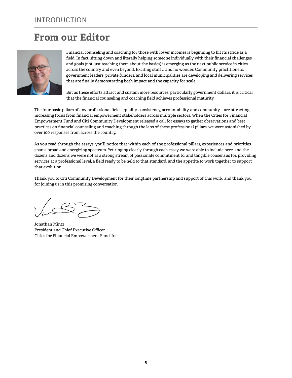## **From our Editor**



Financial counseling and coaching for those with lower incomes is beginning to hit its stride as a field. In fact, sitting down and literally helping someone individually with their financial challenges and goals (not just teaching them about the basics) is emerging as the next public service in cities across the country and even beyond. Exciting stuff … and no wonder. Community practitioners, government leaders, private funders, and local municipalities are developing and delivering services that are finally demonstrating both impact and the capacity for scale.

But as these efforts attract and sustain more resources, particularly government dollars, it is critical that the financial counseling and coaching field achieves professional maturity.

The four basic pillars of any professional field—quality, consistency, accountability, and community – are attracting increasing focus from financial empowerment stakeholders across multiple sectors. When the Cities for Financial Empowerment Fund and Citi Community Development released a call for essays to gather observations and best practices on financial counseling and coaching through the lens of these professional pillars, we were astonished by over 100 responses from across the country.

As you read through the essays, you'll notice that within each of the professional pillars, experiences and priorities span a broad and energizing spectrum. Yet ringing clearly through each essay we were able to include here, and the dozens and dozens we were not, is a strong stream of passionate commitment to, and tangible consensus for, providing services at a professional level, a field ready to be held to that standard, and the appetite to work together to support that evolution.

Thank you to Citi Community Development for their longtime partnership and support of this work; and thank you for joining us in this promising conversation.

Jonathan Mintz President and Chief Executive Officer Cities for Financial Empowerment Fund, Inc.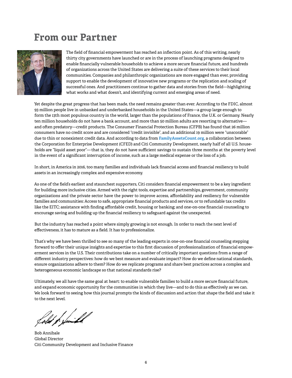## **From our Partner**



The field of financial empowerment has reached an inflection point. As of this writing, nearly thirty city governments have launched or are in the process of launching programs designed to enable financially vulnerable households to achieve a more secure financial future, and hundreds of organizations across the United States are delivering a suite of these services to their local communities. Companies and philanthropic organizations are more engaged than ever, providing support to enable the development of innovative new programs or the replication and scaling of successful ones. And practitioners continue to gather data and stories from the field—highlighting what works and what doesn't, and identifying current and emerging areas of need.

Yet despite the great progress that has been made, the need remains greater than ever. According to the FDIC, almost 93 million people live in unbanked and underbanked households in the United States—a group large enough to form the 13th most populous country in the world, larger than the populations of France, the U.K. or Germany. Nearly ten million households do not have a bank account, and more than 50 million adults are resorting to alternative and often predatory—credit products. The Consumer Financial Protection Bureau (CFPB) has found that 26 million consumers have no credit score and are considered "credit invisible", and an additional 19 million were "unscorable" due to thin or nonexistent credit data. And according to data from **[FamilyAssetsCount.org](http://FamilyAssetsCount.org)**, a collaboration between the Corporation for Enterprise Development (CFED) and Citi Community Development, nearly half of all U.S. households are "liquid asset poor"— that is, they do not have sufficient savings to sustain three months at the poverty level in the event of a significant interruption of income, such as a large medical expense or the loss of a job.

In short, in America in 2016, too many families and individuals lack financial access and financial resiliency to build assets in an increasingly complex and expensive economy.

As one of the field's earliest and staunchest supporters, Citi considers financial empowerment to be a key ingredient for building more inclusive cities. Armed with the right tools, expertise and partnerships, government, community organizations and the private sector have the power to improve access, affordability and resiliency for vulnerable families and communities: Access to safe, appropriate financial products and services, or to refundable tax credits like the EITC; assistance with finding affordable credit, housing or banking; and one-on-one financial counseling to encourage saving and building up the financial resiliency to safeguard against the unexpected.

But the industry has reached a point where simply growing is not enough. In order to reach the next level of effectiveness, it has to mature as a field. It has to professionalize.

That's why we have been thrilled to see so many of the leading experts in one-on-one financial counseling stepping forward to offer their unique insights and expertise to this first discussion of professionalization of financial empowerment services in the U.S. Their contributions take on a number of critically important questions from a range of different industry perspectives: how do we best measure and evaluate impact? How do we define national standards, ensure organizations adhere to them? How do we replicate programs and share best practices across a complex and heterogeneous economic landscape so that national standards rise?

Ultimately, we all have the same goal at heart: to enable vulnerable families to build a more secure financial future, and expand economic opportunity for the communities in which they live—and to do this as effectively as we can. We look forward to seeing how this journal prompts the kinds of discussion and action that shape the field and take it to the next level.

fold f faith

Bob Annibale Global Director Citi Community Development and Inclusive Finance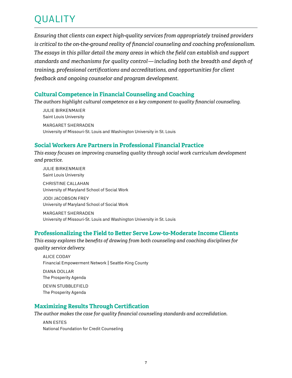## quality

*Ensuring that clients can expect high-quality services from appropriately trained providers is critical to the on-the-ground reality of financial counseling and coaching professionalism. The essays in this pillar detail the many areas in which the field can establish and support standards and mechanisms for quality control — including both the breadth and depth of training, professional certifications and accreditations, and opportunities for client feedback and ongoing counselor and program development.* 

### **Cultural Competence in Financial Counseling and Coaching**

*The authors highlight cultural competence as a key component to quality financial counseling.*

Julie Birkenmaier Saint Louis University Margaret Sherraden University of Missouri-St. Louis and Washington University in St. Louis

### **Social Workers Are Partners in Professional Financial Practice**

*This essay focuses on improving counseling quality through social work curriculum development and practice.*

Julie Birkenmaier Saint Louis University Christine Callahan University of Maryland School of Social Work

Jodi Jacobson Frey University of Maryland School of Social Work

Margaret Sherraden University of Missouri-St. Louis and Washington University in St. Louis

### **Professionalizing the Field to Better Serve Low-to-Moderate Income Clients**

*This essay explores the benefits of drawing from both counseling and coaching disciplines for quality service delivery.*

 Alice Coday Financial Empowerment Network | Seattle-King County Diana Dollar The Prosperity Agenda Devin Stubblefield The Prosperity Agenda

### **Maximizing Results Through Certification**

*The author makes the case for quality financial counseling standards and accredidation.*

 Ann Estes National Foundation for Credit Counseling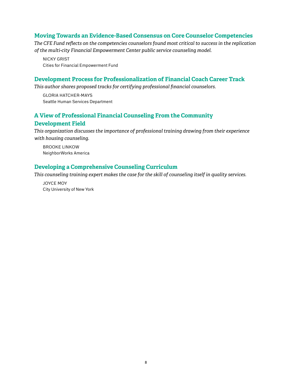### **Moving Towards an Evidence-Based Consensus on Core Counselor Competencies**

*The CFE Fund reflects on the competencies counselors found most critical to success in the replication of the multi-city Financial Empowerment Center public service counseling model.*

NickY Grist Cities for Financial Empowerment Fund

### **Development Process for Professionalization of Financial Coach Career Track**

*This author shares proposed tracks for certifying professional financial counselors.*

 Gloria Hatcher-Mays Seattle Human Services Department

### **A View of Professional Financial Counseling From the Community Development Field**

*This organization discusses the importance of professional training drawing from their experience with housing counseling.*

Brooke Linkow NeighborWorks America

### **Developing a Comprehensive Counseling Curriculum**

*This counseling training expert makes the case for the skill of counseling itself in quality services.*

Joyce Moy City University of New York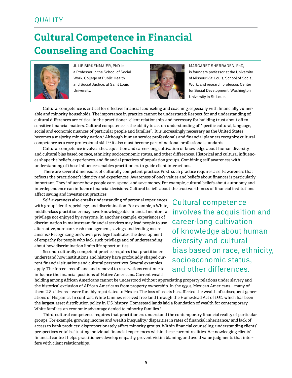## **Cultural Competence in Financial Counseling and Coaching**



Julie Birkenmaier, PhD, is a Professor in the School of Social Work, College of Public Health and Social Justice, at Saint Louis University.



Margaret Sherraden, PhD, is founders professor at the University of Missouri-St. Louis, School of Social Work, and research professor, Center for Social Development, Washington University in St. Louis.

Cultural competence is critical for effective financial counseling and coaching, especially with financially vulnerable and minority households. The importance in practice cannot be understated: Respect for and understanding of cultural differences are critical in the practitioner–client relationship, and necessary for building trust about often sensitive financial matters. Cultural competence is the ability to act on understanding of "specific cultural, language, social and economic nuances of particular people and families".<sup>1</sup> It is increasingly necessary as the United States becomes a majority-minority nation.<sup>2</sup> Although human service professionals and financial planners recognize cultural competence as a core professional skill,<sup>3,4</sup> it also must become part of national professional standards.

Cultural competence involves the acquisition and career-long cultivation of knowledge about human diversity and cultural bias based on race, ethnicity, socioeconomic status, and other differences. Historical and cultural influences shape the beliefs, experiences, and financial practices of population groups. Combining self-awareness with understanding of these influences enables practitioners to guide client interactions.

There are several dimensions of culturally competent practice. First, such practice requires a self-awareness that reflects the practitioner's identity and experiences. Awareness of one's values and beliefs about finances is particularly important. They influence how people earn, spend, and save money. For example, cultural beliefs about autonomy and interdependence can influence financial decisions. Cultural beliefs about the trustworthiness of financial institutions affect saving and investment practices.

Self-awareness also entails understanding of personal experiences with group identity, privilege, and discrimination. For example, a White, middle-class practitioner may have knowledgeable financial mentors, a privilege not enjoyed by everyone. In another example, experiences of discrimination in mainstream financial services may lead people to use alternative, non-bank cash management, savings and lending mechanisms.5 Recognizing one's own privilege facilitates the development of empathy for people who lack such privilege and of understanding about how discrimination limits life opportunities.

Second, culturally competent practice requires that practitioners understand how institutions and history have profoundly shaped current financial situations and cultural perspectives. Several examples apply. The forced loss of land and removal to reservations continue to influence the financial positions of Native Americans. Current wealth

holding among African Americans cannot be understood without appreciating property relations under slavery and the historical exclusion of African Americans from property ownership. In the 1930s, Mexican Americans—many of them U.S. citizens—were forcibly repatriated to Mexico. The loss of assets has affected the wealth of subsequent generations of Hispanics. In contrast, White families received free land through the Homestead Act of 1862, which has been the largest asset distribution policy in U.S. history. Homestead lands laid a foundation of wealth for contemporary White families, an economic advantage denied to minority families.<sup>6</sup>

Third, cultural competence requires that practitioners understand the contemporary financial reality of particular groups. For example, growing income and wealth inequality,<sup>7</sup> disparities in rates of financial inheritance,<sup>8</sup> and lack of access to bank products<sup>9</sup> disproportionately affect minority groups. Within financial counseling, understanding clients' perspectives entails situating individual financial experiences within these current realities. Acknowledging clients' financial context helps practitioners develop empathy, prevent victim blaming, and avoid value judgments that interfere with client relationships.

Cultural competence involves the acquisition and career-long cultivation of knowledge about human diversity and cultural bias based on race, ethnicity, socioeconomic status, and other differences.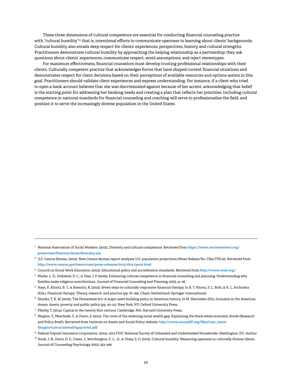These three dimensions of cultural competence are essential for conducting financial counseling practice with "cultural humility"<sup>10</sup> that is, intentional efforts to communicate openness to learning about clients' backgrounds. Cultural humility also entails deep respect for clients' experiences, perspectives, history, and cultural strengths. Practitioners demonstrate cultural humility by approaching the helping relationship as a partnership; they ask questions about clients' experiences, communicate respect, avoid assumptions, and reject stereotypes.

For maximum effectiveness, financial counselors must develop trusting professional relationships with their clients. Culturally competent practice that acknowledges forces that have shaped current financial situations and demonstrates respect for client decisions based on their perceptions of available resources and options assists in this goal. Practitioners should validate client experiences and express understanding. For instance, if a client who tried to open a bank account believes that she was discriminated against because of her accent, acknowledging that belief is the starting point for addressing her banking needs and creating a plan that reflects her priorities. Including cultural competence in national standards for financial counseling and coaching will serve to professionalize the field, and position it to serve the increasingly diverse population in the United States.

- $7$  Piketty, T. (2014). Capital in the twenty-first century. Cambridge, MA: Harvard University Press.
- 8 Shapiro, T., Meschede, T., & Osoro, S. (2013). The roots of the widening racial wealth gap: Explaining the black-white economic divide (Research and Policy Brief). Retrieved from Institute on Assets and Social Policy website: **[http://www.naacpldf.org/files/case\\_issue/](http://iasp.brandeis.edu/pdfs/Author/shapiro-thomas-m/racialwealthgapbrief.pdf) [Shapiro%20racialwealthgap brief.pdf](http://iasp.brandeis.edu/pdfs/Author/shapiro-thomas-m/racialwealthgapbrief.pdf)**

<sup>10</sup> Hook, J. N., Davis, D. E., Owen, J., Worthington, E. L., Jr., & Utsey, S. O. (2013). Cultural humility: Measuring openness to culturally diverse clients. Journal of Counseling Psychology, 60(3), 353–366.

<sup>1</sup> National Association of Social Workers. (2015). Diversity and cultural competence. Retrieved from **[https://www.socialworkers.org/](https://www.socialworkers.org/pressroom/features/issue/diversity.asp) [pressroom/features/issue/diversity.asp](https://www.socialworkers.org/pressroom/features/issue/diversity.asp)**

<sup>2</sup> U.S. Census Bureau. (2015). New Census Bureau report analyzes U.S. population projections (News Release No. CB15-TPS.16). Retrieved from **<http://www.census.gov/newsroom/press-releases/2015/cb15-tps16.html>**

<sup>3</sup> Council on Social Work Education. (2015). Educational policy and accreditation standards. Retrieved from **<http://www.cswe.org/>**

<sup>4</sup> Marks, L. D., Dollahite, D. C., & Dew, J. P. (2009). Enhancing cultural competence in financial counseling and planning: Understanding why families make religious contributions. Journal of Financial Counseling and Planning, 20(2), 14–26.

<sup>5</sup> Hays, P., Klontz, B. T., & Kemnitz, R. (2015). Seven steps to culturally responsive financial therapy. In B. T. Klontz, S. L. Britt, & K. L. Archuleta (Eds.), Financial therapy: Theory, research, and practice (pp. 87–99). Cham, Switzerland: Springer International.

<sup>6</sup> Shanks, T. R. W. (2005). The Homestead Act: A major asset-building policy in American history. In M. Sherraden (Ed.), Inclusion in the American dream: Assets, poverty, and public policy (pp. 20–41). New York, NY: Oxford University Press.

<sup>9</sup> Federal Deposit Insurance Corporation. (2014). 2013 FDIC National Survey of Unbanked and Underbanked Households. Washington, DC: Author.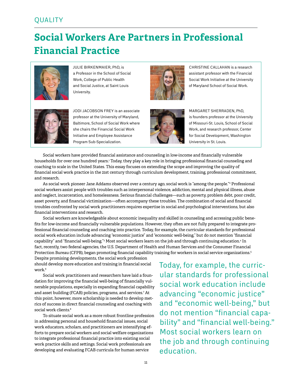### **QUALITY**

## **Social Workers Are Partners in Professional Financial Practice**



Julie Birkenmaier, PhD, is a Professor in the School of Social Work, College of Public Health and Social Justice, at Saint Louis University.



CHRISTINE CALLAHAN is a research assistant professor with the Financial Social Work Initiative at the University of Maryland School of Social Work.



JODI JACOBSON FREY is an associate professor at the University of Maryland, Baltimore, School of Social Work where she chairs the Financial Social Work Initiative and Employee Assistance Program Sub-Specialization.



Margaret Sherraden, PhD, is founders professor at the University of Missouri-St. Louis, School of Social Work, and research professor, Center for Social Development, Washington University in St. Louis.

Social workers have provided financial assistance and counseling in low-income and financially vulnerable households for over one hundred years.<sup>ı</sup> Today, they play a key role in bringing professional financial counseling and coaching to scale in the United States. This essay focuses on extending the scope and improving the quality of financial social work practice in the 21st century through curriculum development, training, professional commitment, and research.

As social work pioneer Jane Addams observed over a century ago, social work is "among the people."2 Professional social workers assist people with troubles such as interpersonal violence, addiction, mental and physical illness, abuse and neglect, incarceration, and homelessness. Serious financial challenges—such as poverty, problem debt, poor credit, asset poverty, and financial victimization—often accompany these troubles. The combination of social and financial troubles confronted by social work practitioners requires expertise in social and psychological interventions, but also financial interventions and research.

Social workers are knowledgeable about economic inequality and skilled in counseling and accessing public benefits for low-income and financially vulnerable populations. However, they often are not fully prepared to integrate professional financial counseling and coaching into practice. Today, for example, the curricular standards for professional social work education include advancing "economic justice" and "economic well-being," but do not mention "financial capability" and "financial well-being."3 Most social workers learn on the job and through continuing education.4 In fact, recently, two federal agencies, the U.S. Department of Health and Human Services and the Consumer Financial Protection Bureau (CFPB), began promoting financial capability training for workers in social service organizations.<sup>5</sup>

Despite promising developments, the social work profession should develop more education and training in financial social work.<sup>6</sup>

Social work practitioners and researchers have laid a foundation for improving the financial well-being of financially vulnerable populations, especially in expanding financial capability and asset building (FCAB) policies, programs, and services.7 At this point, however, more scholarship is needed to develop metrics of success in direct financial counseling and coaching with social work clients.<sup>8</sup>

To situate social work as a more robust frontline profession in addressing personal and household financial issues, social work educators, scholars, and practitioners are intensifying efforts to prepare social workers and social welfare organizations to integrate professional financial practice into existing social work practice skills and settings. Social work professionals are developing and evaluating FCAB curricula for human service

Today, for example, the curricular standards for professional social work education include advancing "economic justice" and "economic well-being," but do not mention "financial capability" and "financial well-being." Most social workers learn on the job and through continuing education.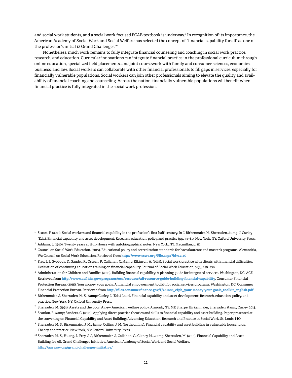and social work students, and a social work focused FCAB textbook is underway.9 In recognition of its importance, the American Academy of Social Work and Social Welfare has selected the concept of "financial capability for all" as one of the profession's initial 12 Grand Challenges.<sup>10</sup>

Nonetheless, much work remains to fully integrate financial counseling and coaching in social work practice, research, and education. Curricular innovations can integrate financial practice in the professional curriculum through online education, specialized field placements, and joint coursework with family and consumer sciences, economics, business, and law. Social workers can collaborate with other financial professionals to fill gaps in services, especially for financially vulnerable populations. Social workers can join other professionals aiming to elevate the quality and availability of financial coaching and counseling. Across the nation, financially vulnerable populations will benefit when financial practice is fully integrated in the social work profession.

 $^{\rm 1}$  Stuart, P. (2013). Social workers and financial capability in the profession's first half-century. In J. Birkenmaier, M. Sherraden, & J. Curley (Eds.), Financial capability and asset development: Research, education, policy, and practice (pp. 44–61). New York, NY: Oxford University Press.

 $^2\,$  Addams, J. (1910). Twenty years at Hull-House with autobiographical notes. New York, NY: Macmillan, p. 111

 $^3$  Council on Social Work Education. (2015). Educational policy and accreditation standards for baccalaureate and master's programs. Alexandria, VA: Council on Social Work Education. Retrieved from **[http://www.cswe.org/File.aspx?id=14115](http://goo.gl/shMNne)**

<sup>4</sup> Frey, J. J., Svoboda, D., Sander, R., Osteen, P., Callahan, C., & Elkinson, A. (2015). Social work practice with clients with financial difficulties: Evaluation of continuing education training on financial capability. Journal of Social Work Education, 51(3), 439–456.

<sup>5</sup> Administration for Children and Families (2015). Building financial capability: A planning guide for integrated services. Washington, DC: ACF. Retrieved from **<http://www.acf.hhs.gov/programs/ocs/resource/afi-resource-guide-building-financial-capability>**. Consumer Financial Protection Bureau. (2015). Your money, your goals: A financial empowerment toolkit for social services programs. Washington, DC: Consumer Financial Protection Bureau. Retrieved from **[http://files.consumerfinance.gov/f/201603\\_cfpb\\_your-money-your-goals\\_toolkit\\_english.pdf](http://files.consumerfinance.gov/f/201603_cfpb_your-money-your-goals_toolkit_english.pdf)**

 $^6$  Birkenmaier, J., Sherraden, M. S., & Curley, J. (Eds.) (2013). Financial capability and asset development: Research, education, policy, and practice. New York, NY: Oxford University Press.

 $^7\,$  Sherraden, M. (1991). Assets and the poor: A new American welfare policy. Armonk, NY: ME Sharpe. Birkenmaier, Sherraden, & Curley, 2013.

<sup>&</sup>lt;sup>8</sup> Scanlon, E. & amp; Sanders, C. (2015). Applying direct practice theories and skills to financial capability and asset building. Paper presented at the convening on Financial Capability and Asset Building: Advancing Education, Research and Practice in Social Work, St. Louis, MO.

<sup>&</sup>lt;sup>9</sup> Sherraden, M. S., Birkenmaier, J. M., &amp; Collins, J. M. (forthcoming). Financial capability and asset building in vulnerable households: Theory and practice. New York, NY: Oxford University Press.

<sup>&</sup>lt;sup>10</sup> Sherraden, M. S., Huang, J., Frey, J. J., Birkenmaier, J., Callahan, C., Clancy, M., &amp; Sherraden, M. (2015). Financial Capability and Asset Building for All. Grand Challenges Initiative, American Academy of Social Work and Social Welfare. **<http://aaswsw.org/grand-challenges-initiative/>**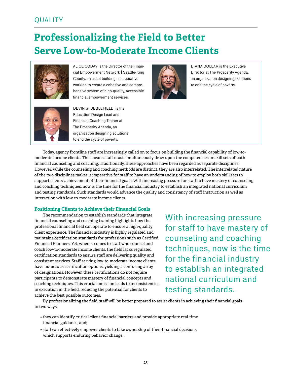### **QUALITY**

## **Professionalizing the Field to Better Serve Low-to-Moderate Income Clients**



ALICE CODAY is the Director of the Financial Empowerment Network | Seattle-King County, an asset building collaborative working to create a cohesive and comprehensive system of high-quality, accessible financial empowerment services.



DIANA DOLLAR is the Executive Director at The Prosperity Agenda, an organization designing solutions to end the cycle of poverty.



DEVIN STUBBLEFIELD is the Education Design Lead and Financial Coaching Trainer at The Prosperity Agenda, an organization designing solutions to end the cycle of poverty.

Today, agency frontline staff are increasingly called on to focus on building the financial capability of low-tomoderate income clients. This means staff must simultaneously draw upon the competencies or skill sets of both financial counseling and coaching. Traditionally, these approaches have been regarded as separate disciplines. However, while the counseling and coaching methods are distinct, they are also interrelated. The interrelated nature of the two disciplines makes it imperative for staff to have an understanding of how to employ both skill sets to support clients' achievement of their financial goals. With increasing pressure for staff to have mastery of counseling and coaching techniques, now is the time for the financial industry to establish an integrated national curriculum and testing standards. Such standards would advance the quality and consistency of staff instruction as well as interaction with low-to-moderate income clients.

#### **Positioning Clients to Achieve their Financial Goals**

The recommendation to establish standards that integrate financial counseling and coaching training highlights how the professional financial field can operate to ensure a high-quality client experience. The financial industry is highly regulated and maintains certification standards for professions such as Certified Financial Planners. Yet, when it comes to staff who counsel and coach low-to-moderate income clients, the field lacks regulated certification standards to ensure staff are delivering quality and consistent services. Staff serving low-to-moderate income clients have numerous certification options, yielding a confusing array of designations. However, these certifications do not require participants to demonstrate mastery of financial concepts and coaching techniques. This crucial omission leads to inconsistencies in execution in the field, reducing the potential for clients to achieve the best possible outcomes.

With increasing pressure for staff to have mastery of counseling and coaching techniques, now is the time for the financial industry to establish an integrated national curriculum and testing standards.

By professionalizing the field, staff will be better prepared to assist clients in achieving their financial goals in two ways:

- they can identify critical client financial barriers and provide appropriate real-time financial guidance, and;
- staff can effectively empower clients to take ownership of their financial decisions, which supports enduring behavior change.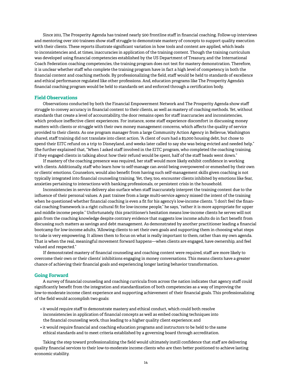Since 2011, The Prosperity Agenda has trained nearly 500 frontline staff in financial coaching. Follow-up interviews and mentoring over 100 trainees show staff struggle to demonstrate mastery of concepts to support quality execution with their clients. These reports illustrate significant variation in how tools and content are applied, which leads to inconsistencies and, at times, inaccuracies in application of the training content. Though the training curriculum was developed using financial competencies established by the US Department of Treasury, and the International Coach Federation coaching competencies, the training program does not test for mastery demonstration. Therefore, it is unclear whether staff who complete the training program have in fact a high level of competency in both the financial content and coaching methods. By professionalizing the field, staff would be held to standards of excellence and ethical performance regulated like other professions. And, education programs like The Prosperity Agenda's financial coaching program would be held to standards set and enforced through a certification body.

#### **Field Observations**

Observations conducted by both the Financial Empowerment Network and The Prosperity Agenda show staff struggle to convey accuracy in financial content to their clients, as well as mastery of coaching methods. Yet, without standards that create a level of accountability, the door remains open for staff inaccuracies and inconsistencies, which produce ineffective client experiences. For instance, some staff experience discomfort in discussing money matters with clients or struggle with their own money management concerns, which affects the quality of service provided to their clients. As one program manager from a large Community Action Agency in Bellevue, Washington shared, staff training did not translate into client action. "A client of ours had a \$3,000 housing debt, but chose to spend their EITC refund on a trip to Disneyland, and weeks later called to say she was being evicted and needed help." She further explained that, "When I asked staff involved in the EITC program, who completed the coaching training, if they engaged clients in talking about how their refund would be spent, half of the staff heads went down."

If mastery of the coaching presence was required, her staff would more likely exhibit confidence in working with clients. Additionally, staff who learn how to self-manage can avoid being overpowered or enmeshed by their own or clients' emotions. Counselors, would also benefit from having such self-management skills given coaching is not typically integrated into financial counseling training. Yet, they, too, encounter clients inhibited by emotions like fear, anxieties pertaining to interactions with banking professionals, or persistent crisis in the household.

Inconsistencies in service delivery also surface when staff inaccurately interpret the training content due to the influence of their personal values. A past trainee from a large multi-service agency missed the intent of the training when he questioned whether financial coaching is even a fit for his agency's low-income clients. "I don't feel the financial coaching framework is a right cultural fit for low-income people," he says, "rather it is more appropriate for upper and middle income people." Unfortunately, this practitioner's hesitation means low-income clients he serves will not gain from the coaching knowledge despite contrary evidence that suggests low income adults do in fact benefit from discussing such matters as savings and debt management. As demonstrated by another practitioner leading a financial bootcamp for low-income adults, "Allowing clients to set their own goals and supporting them in choosing what steps to take is very empowering. It allows them to focus on what is really important to them, rather than my own agenda. That is when the real, meaningful movement forward happens—when clients are engaged, have ownership, and feel valued and respected."

If demonstrated mastery of financial counseling and coaching content were required, staff are more likely to overcome their own or their clients' inhibitions engaging in money conversations. This means clients have a greater chance of achieving their financial goals and experiencing longer lasting behavior transformation.

#### **Going Forward**

A survey of financial counseling and coaching curricula from across the nation indicates that agency staff could significantly benefit from the integration and standardization of both competencies as a way of improving the low-to-moderate income client experience and supporting achievement of their financial goals. This professionalizing of the field would accomplish two goals:

- it would require staff to demonstrate mastery and ethical conduct, which could both resolve inconsistencies in application of financial concepts as well as embed coaching techniques into the financial counseling work, thus leading to a higher quality client experience; and
- it would require financial and coaching education programs and instructors to be held to the same ethical standards and to meet criteria established by a governing board through accreditation.

Taking the step toward professionalizing the field would ultimately instill confidence that staff are delivering quality financial services to their low-to-moderate income clients who are then better positioned to achieve lasting economic stability.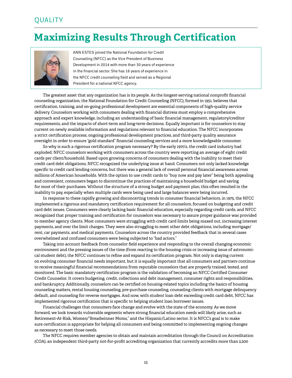### **QUALITY**

## **Maximizing Results Through Certification**



Ann Estes joined the National Foundation for Credit Counseling (NFCC) as the Vice President of Business Development in 2014 with more than 30 years of experience in the financial sector. She has 16 years of experience in the NFCC credit counseling field and served as a Regional President for a national NFCC agency.

The greatest asset that any organization has is its people. As the longest-serving national nonprofit financial counseling organization, the National Foundation for Credit Counseling (NFCC), formed in 1951, believes that certification, training, and on-going professional development are essential components of high-quality service delivery. Counselors working with consumers dealing with financial distress must employ a comprehensive approach and expert knowledge, including an understanding of basic financial management, regulatory/creditor requirements, and the impacts of short-term and long-term decisions. Equally important is for counselors to stay current on newly available information and regulations relevant to financial education. The NFCC incorporates a strict certification process, ongoing professional development practices, and third-party quality assurance oversight in order to ensure "gold standard" financial counseling services and a more knowledgeable consumer.

So why is such a rigorous certification program necessary? By the early 1970's, the credit card industry had exploded. NFCC counselors working with consumers across the country were reporting an average of eight credit cards per client/household. Based upon growing concerns of consumers dealing with the inability to meet their credit card debt obligations, NFCC recognized the underlying issue at hand. Consumers not only lacked knowledge specific to credit card lending concerns, but there was a general lack of overall personal financial awareness across millions of American households. With the option to use credit cards to "buy now and pay later" being both appealing and convenient, consumers began to discontinue the practices of maintaining a household budget and saving for most of their purchases. Without the structure of a strong budget and payment plan, this often resulted in the inability to pay, especially when multiple cards were being used and large balances were being incurred.

In response to these rapidly growing and disconcerting trends in consumer financial behaviors, in 1975, the NFCC implemented a rigorous and mandatory certification requirement for all counselors, focused on budgeting and credit card debt issues. Consumers were clearly lacking basic financial education, especially regarding credit cards, and NFCC recognized that proper training and certification for counselors was necessary to assure proper guidance was provided to member agency clients. Most consumers were struggling with credit card limits being maxed out, increasing interest payments, and over the limit charges. They were also struggling to meet other debt obligations, including mortgage/ rent, car payments, and medical payments. Counselors across the country provided feedback that in several cases overwhelmed and confused consumers were being subjected to "bad actors."

Taking into account feedback from counselor field experience and responding to the overall changing economic environment and the pressing issues of the time (from reacting to the housing crisis or increasing issue of astronomical student debt), the NFCC continues to refine and expand its certification program. Not only is staying current on evolving consumer financial needs important, but it is equally important that all consumers and partners continue to receive meaningful financial recommendations from reputable counselors that are properly trained, tested, and monitored. The basic mandatory certification program is the validation of becoming an NFCC Certified Consumer Credit Counselor. It covers budgeting, credit, collections and debt management, consumer rights and responsibilities, and bankruptcy. Additionally, counselors can be certified on housing-related topics including the basics of housing counseling matters, rental housing counseling, pre-purchase counseling, counseling clients with mortgage delinquency default, and counseling for reverse mortgages. And now, with student loan debt exceeding credit card debt, NFCC has implemented rigorous certification that is specific to helping student loan borrower issues.

Financial challenges that consumers face change and evolve with the state of the economy. As we move forward, we look towards vulnerable segments where strong financial education needs will likely arise, such as Retirement-At-Risk, Women/"Breadwinner Moms," and the Hispanic/Latino sector. It is NFCC's goal is to make sure certification is appropriate for helping all consumers and being committed to implementing ongoing changes as necessary to meet those needs.

The NFCC requires member agencies to obtain and maintain accreditation through the Council on Accreditation (COA), an independent third-party not-for-profit accrediting organization that currently accredits more than 2,200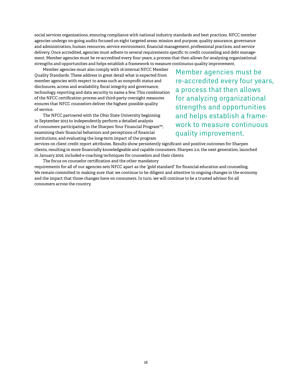social services organizations, ensuring compliance with national industry standards and best practices. NFCC member agencies undergo on-going audits focused on eight targeted areas: mission and purpose, quality assurance, governance and administration, human resources, service environment, financial management, professional practices, and service delivery. Once accredited, agencies must adhere to several requirements specific to credit counseling and debt management. Member agencies must be re-accredited every four years, a process that then allows for analyzing organizational strengths and opportunities and helps establish a framework to measure continuous quality improvement.

Member agencies must also comply with 18 internal NFCC Member Quality Standards. These address in great detail what is expected from member agencies with respect to areas such as nonprofit status and disclosures, access and availability, fiscal integrity and governance, technology, reporting and data security to name a few. This combination of the NFCC certification process and third-party oversight measures ensures that NFCC counselors deliver the highest possible quality of service.

The NFCC partnered with the Ohio State University beginning in September 2013 to independently perform a detailed analysis of consumers participating in the Sharpen Your Financial Program™, examining their financial behaviors and perceptions of financial institutions, and evaluating the long-term impact of the program

Member agencies must be re-accredited every four years, a process that then allows for analyzing organizational strengths and opportunities and helps establish a framework to measure continuous quality improvement.

services on client credit report attributes. Results show persistently significant and positive outcomes for Sharpen clients, resulting in more financially knowledgeable and capable consumers. Sharpen 2.0, the next generation, launched in January 2016, included e-coaching techniques for counselors and their clients.

The focus on counselor certification and the other mandatory requirements for all of our agencies sets NFCC apart as the "gold standard" for financial education and counseling. We remain committed to making sure that we continue to be diligent and attentive to ongoing changes in the economy and the impact that those changes have on consumers. In turn, we will continue to be a trusted advisor for all consumers across the country.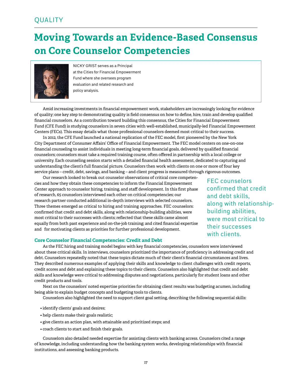### **QUALITY**

## **Moving Towards an Evidence-Based Consensus on Core Counselor Competencies**



Nicky Grist serves as a Principal at the Cities for Financial Empowerment Fund where she oversees program evaluation and related research and policy analysis.

Amid increasing investments in financial empowerment work, stakeholders are increasingly looking for evidence of quality; one key step to demonstrating quality is field consensus on how to define, hire, train and develop qualified financial counselors. As a contribution toward building this consensus, the Cities for Financial Empowerment Fund (CFE Fund) is studying counselors in seven cities with well-established, municipally-led Financial Empowerment Centers (FECs). This essay details what those professional counselors deemed most critical to their success.

In 2012, the CFE Fund launched a national replication of the FEC model, first pioneered by the New York City Department of Consumer Affairs' Office of Financial Empowerment. The FEC model centers on one-on-one financial counseling to assist individuals in meeting long-term financial goals, delivered by qualified financial counselors; counselors must take a required training course, often offered in partnership with a local college or university. Each counseling session starts with a detailed financial health assessment, dedicated to capturing and understanding the client's full financial picture. Counselors then work with clients on one or more of four key service plans – credit, debt, savings, and banking – and client progress is measured through rigorous outcomes.

Our research looked to break out counselor observations of critical core competencies and how they obtain these competencies to inform the Financial Empowerment Center approach to counselor hiring, training, and staff development. In this first phase of research, 65 counselors interviewed each other on critical competencies; our research partner conducted additional in-depth interviews with selected counselors. Three themes emerged as critical to hiring and training approaches. FEC counselors: confirmed that credit and debt skills, along with relationship-building abilities, were most critical to their successes with clients; reflected that these skills came almost equally from both past experience and on-the-job training; and cited financial expertise and for motivating clients as priorities for further professional development.

FEC counselors confirmed that credit and debt skills, along with relationshipbuilding abilities, were most critical to their successes with clients.

#### **Core Counselor Financial Competencies: Credit and Debt**

As the FEC hiring and training model begins with key financial competencies, counselors were interviewed about these critical skills. In interviews, counselors prioritized the importance of proficiency in addressing credit and debt. Counselors repeatedly noted that these topics dictate much of their client's financial circumstances and lives. They described numerous examples of applying their skills and knowledge to client challenges with credit reports, credit scores and debt and explaining these topics to their clients. Counselors also highlighted that credit and debt skills and knowledge were critical to addressing disputes and negotiations, particularly for student loans and other credit products and tools.

Next on the counselors' noted expertise priorities for obtaining client results was budgeting acumen, including being able to explain budget concepts and budgeting tools to clients.

Counselors also highlighted the need to support client goal setting, describing the following sequential skills:

- identify clients' goals and desires;
- help clients make their goals realistic;
- give clients an action plan, with attainable and prioritized steps; and
- coach clients to start and finish their goals.

Counselors also detailed needed expertise for assisting clients with banking access. Counselors cited a range of knowledge, including understanding how the banking system works, developing relationships with financial institutions, and assessing banking products.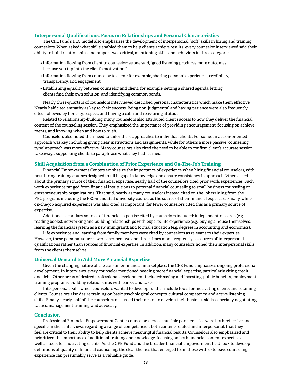#### **Interpersonal Qualifications: Focus on Relationships and Personal Characteristics**

The CFE Fund's FEC model also emphasizes the development of interpersonal, "soft" skills in hiring and training counselors. When asked what skills enabled them to help clients achieve results, every counselor interviewed said their ability to build relationships and rapport was critical, mentioning skills and behaviors in three categories:

- Information flowing from client to counselor: as one said, "good listening produces more outcomes because you tap into the client's motivation."
- Information flowing from counselor to client: for example, sharing personal experiences, credibility, transparency, and engagement.
- Establishing equality between counselor and client: for example, setting a shared agenda, letting clients find their own solution, and identifying common bonds.

Nearly three-quarters of counselors interviewed described personal characteristics which make them effective. Nearly half cited empathy as key to their success. Being non-judgmental and having patience were also frequently cited, followed by honesty, respect, and having a calm and reassuring attitude.

Related to relationship-building, many counselors also attributed client success to how they deliver the financial content of the counseling session. They emphasized the importance of providing encouragement, focusing on achievements, and knowing when and how to push.

Counselors also noted their need to tailor these approaches to individual clients. For some, an action-oriented approach was key, including giving clear instructions and assignments, while for others a more passive "counseling type" approach was more effective. Many counselors also cited the need to be able to confirm client's accurate session takeaways, supporting clients to paraphrase what they had learned.

#### **Skill Acquisition from a Combination of Prior Experience and On-The-Job Training**

Financial Empowerment Centers emphasize the importance of experience when hiring financial counselors, with post-hiring training courses designed to fill in gaps in knowledge and ensure consistency in approach. When asked about the primary source of their financial expertise, nearly half of the counselors cited prior work experiences. Such work experience ranged from financial institutions to personal financial counseling to small business counseling or entrepreneurship organizations. That said, nearly as many counselors instead cited on-the-job training from the FEC program, including the FEC-mandated university course, as the source of their financial expertise. Finally, while on-the-job acquired experience was also cited as important, far fewer counselors cited this as a primary source of expertise.

Additional secondary sources of financial expertise cited by counselors included: independent research (e.g., reading books); networking and building relationships with experts; life experience (e.g., buying a house themselves, learning the financial system as a new immigrant); and formal education (e.g. degrees in accounting and economics).

Life experience and learning from family members were cited by counselors as relevant to their expertise. However, these personal sources were ascribed two and three times more frequently as sources of interpersonal qualifications rather than sources of financial expertise. In addition, many counselors honed their interpersonal skills from the clients themselves.

#### **Universal Demand to Add More Financial Expertise**

Given the changing nature of the consumer financial marketplace, the CFE Fund emphasizes ongoing professional development. In interviews, every counselor mentioned needing more financial expertise, particularly citing credit and debt. Other areas of desired professional development included: saving and investing, public benefits, employment training programs, building relationships with banks, and taxes.

Interpersonal skills which counselors wanted to develop further include tools for motivating clients and retaining clients. Counselors also desire training on basic psychological concepts, cultural competency, and active listening skills. Finally, nearly half of the counselors discussed their desire to develop their business skills, especially negotiating tactics, management training, and advocacy.

#### **Conclusion**

Professional Financial Empowerment Center counselors across multiple partner cities were both reflective and specific in their interviews regarding a range of competencies, both content-related and interpersonal, that they feel are critical to their ability to help clients achieve meaningful financial results. Counselors also emphasized and prioritized the importance of additional training and knowledge, focusing on both financial content expertise as well as tools for motivating clients. As the CFE Fund and the broader financial empowerment field look to develop definitions of quality in financial counseling, the clear themes that emerged from those with extensive counseling experience can presumably serve as a valuable guide.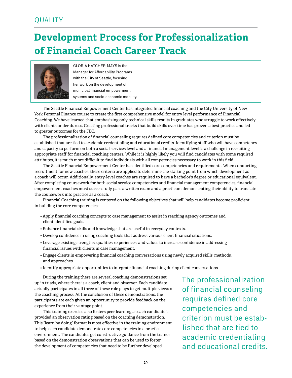## **Development Process for Professionalization of Financial Coach Career Track**



Gloria Hatcher-Mays is the Manager for Affordability Programs with the City of Seattle, focusing her work on the development of municipal financial empowerment systems and socio-economic mobility.

The Seattle Financial Empowerment Center has integrated financial coaching and the City University of New York Personal Finance course to create the first comprehensive model for entry level performance of Financial Coaching. We have learned that emphasizing only technical skills results in graduates who struggle to work effectively with clients under duress. Creating professional tracks that build skills over time has proven a best practice and led to greater outcomes for the FEC.

The professionalization of financial counseling requires defined core competencies and criterion must be established that are tied to academic credentialing and educational credits. Identifying staff who will have competency and capacity to perform on both a social services level and a financial management level is a challenge in recruiting appropriate staff for financial coaching centers. While it is highly likely you will find candidates with some required attributes, it is much more difficult to find individuals with all competencies necessary to work in this field.

The Seattle Financial Empowerment Center has identified core competencies and requirements. When conducting recruitment for new coaches, these criteria are applied to determine the starting point from which development as a coach will occur. Additionally, entry-level coaches are required to have a bachelor's degree or educational equivalent. After completing coursework for both social service competencies and financial management competencies, financial empowerment coaches must successfully pass a written exam and a practicum demonstrating their ability to translate the coursework into practice as a coach.

Financial Coaching training is centered on the following objectives that will help candidates become proficient in building the core competencies:

- Apply financial coaching concepts to case management to assist in reaching agency outcomes and client identified goals.
- Enhance financial skills and knowledge that are useful in everyday contexts.
- Develop confidence in using coaching tools that address various client financial situations.
- Leverage existing strengths, qualities, experiences, and values to increase confidence in addressing financial issues with clients in case management.
- Engage clients in empowering financial coaching conversations using newly acquired skills, methods, and approaches.
- Identify appropriate opportunities to integrate financial coaching during client conversations.

During the training there are several coaching demonstrations set up in triads, where there is a coach, client and observer. Each candidate actually participates in all three of these role plays to get multiple views of the coaching process. At the conclusion of these demonstrations, the participants are each given an opportunity to provide feedback on the experience from their vantage point.

This training exercise also fosters peer learning as each candidate is provided an observation rating based on the coaching demonstration. This "learn by doing" format is most effective in the training environment to help each candidate demonstrate core competencies in a practice environment. The candidates get constructive guidance from the trainer based on the demonstration observations that can be used to foster the development of competencies that need to be further developed.

The professionalization of financial counseling requires defined core competencies and criterion must be established that are tied to academic credentialing and educational credits.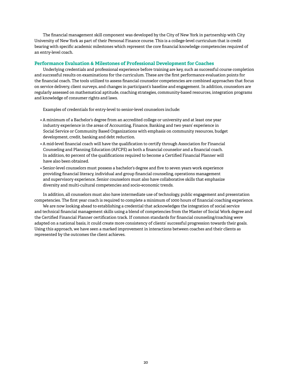The financial management skill component was developed by the City of New York in partnership with City University of New York as part of their Personal Finance course. This is a college-level curriculum that is credit bearing with specific academic milestones which represent the core financial knowledge competencies required of an entry-level coach.

#### **Performance Evaluation & Milestones of Professional Development for Coaches**

Underlying credentials and professional experience before training are key, such as successful course completion and successful results on examinations for the curriculum. These are the first performance evaluation points for the financial coach. The tools utilized to assess financial counselor competencies are combined approaches that focus on service delivery, client surveys, and changes in participant's baseline and engagement. In addition, counselors are regularly assessed on mathematical aptitude, coaching strategies, community-based resources, integration programs and knowledge of consumer rights and laws.

Examples of credentials for entry-level to senior-level counselors include:

- A minimum of a Bachelor's degree from an accredited college or university and at least one year industry experience in the areas of Accounting, Finance, Banking and two years' experience in Social Service or Community Based Organizations with emphasis on community resources, budget development, credit, banking and debt reduction.
- A mid-level financial coach will have the qualification to certify through Association for Financial Counseling and Planning Education (AFCPE) as both a financial counselor and a financial coach. In addition, 60 percent of the qualifications required to become a Certified Financial Planner will have also been obtained.
- Senior-level counselors must possess a bachelor's degree and five to seven years work experience providing financial literacy, individual and group financial counseling, operations management and supervisory experience. Senior counselors must also have collaborative skills that emphasize diversity and multi-cultural competencies and socio-economic trends.

In addition, all counselors must also have intermediate use of technology, public engagement and presentation competencies. The first year coach is required to complete a minimum of 1000 hours of financial coaching experience.

We are now looking ahead to establishing a credential that acknowledges the integration of social service and technical financial management skills using a blend of competencies from the Master of Social Work degree and the Certified Financial Planner certification track. If common standards for financial counseling/coaching were adapted on a national basis, it could create more consistency of clients' successful progression towards their goals. Using this approach, we have seen a marked improvement in interactions between coaches and their clients as represented by the outcomes the client achieves.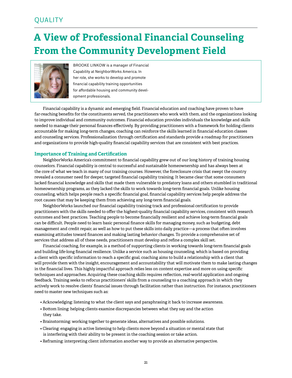## **A View of Professional Financial Counseling From the Community Development Field**



Brooke Linkow is a manager of Financial Capability at NeighborWorks America. In her role, she works to develop and promote financial capability training opportunities for affordable housing and community development professionals.

Financial capability is a dynamic and emerging field. Financial education and coaching have proven to have far-reaching benefits for the constituents served, the practitioners who work with them, and the organizations looking to improve individual and community outcomes. Financial education provides individuals the knowledge and skills needed to manage their personal finances effectively. By providing practitioners with a framework for holding clients accountable for making long-term changes, coaching can reinforce the skills learned in financial education classes and counseling services. Professionalization through certification and standards provide a roadmap for practitioners and organizations to provide high-quality financial capability services that are consistent with best practices.

#### **Importance of Training and Certification**

NeighborWorks America's commitment to financial capability grew out of our long history of training housing counselors. Financial capability is central to successful and sustainable homeownership and has always been at the core of what we teach in many of our training courses. However, the foreclosure crisis that swept the country revealed a consumer need for deeper, targeted financial capability training. It became clear that some consumers lacked financial knowledge and skills that made them vulnerable to predatory loans and others stumbled in traditional homeownership programs, as they lacked the skills to work towards long-term financial goals. Unlike housing counseling, which helps people reach a specific financial goal, financial capability services help people address the root causes that may be keeping them from achieving any long-term financial goals.

NeighborWorks launched our financial capability training track and professional certification to provide practitioners with the skills needed to offer the highest-quality financial capability services, consistent with research outcomes and best practices. Teaching people to become financially resilient and achieve long-term financial goals can be difficult. People need to learn basic personal finance skills for managing money, such as budgeting, debt management and credit repair, as well as how to put these skills into daily practice—a process that often involves examining attitudes toward finances and making lasting behavior changes. To provide a comprehensive set of services that address all of these needs, practitioners must develop and refine a complex skill set.

Financial coaching, for example, is a method of supporting clients in working towards long-term financial goals and building life-long financial resilience. Unlike a service such as housing counseling, which is based on providing a client with specific information to reach a specific goal, coaching aims to build a relationship with a client that will provide them with the insight, encouragement and accountability that will motivate them to make lasting changes in the financial lives. This highly impactful approach relies less on content expertise and more on using specific techniques and approaches. Acquiring these coaching skills requires reflection, real-world application and ongoing feedback. Training seeks to refocus practitioners' skills from a counseling to a coaching approach in which they actively work to resolve clients' financial issues through facilitation rather than instruction. For instance, practitioners need to master new techniques such as:

- Acknowledging: listening to what the client says and paraphrasing it back to increase awareness.
- Bottom lining: helping clients examine discrepancies between what they say and the action they take.
- Brainstorming: working together to generate ideas, alternatives and possible solutions.
- Clearing: engaging in active listening to help clients move beyond a situation or mental state that is interfering with their ability to be present in the coaching session or take action.
- Reframing: interpreting client information another way to provide an alternative perspective.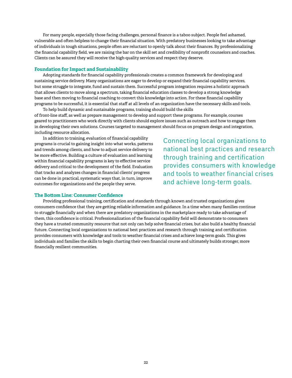For many people, especially those facing challenges, personal finance is a taboo subject. People feel ashamed, vulnerable and often helpless to change their financial situation. With predatory businesses looking to take advantage of individuals in tough situations, people often are reluctant to openly talk about their finances. By professionalizing the financial capability field, we are raising the bar on the skill set and credibility of nonprofit counselors and coaches. Clients can be assured they will receive the high-quality services and respect they deserve.

#### **Foundation for Impact and Sustainability**

Adopting standards for financial capability professionals creates a common framework for developing and sustaining service delivery. Many organizations are eager to develop or expand their financial capability services, but some struggle to integrate, fund and sustain them. Successful program integration requires a holistic approach that allows clients to move along a spectrum, taking financial education classes to develop a strong knowledge base and then moving to financial coaching to convert this knowledge into action. For these financial capability programs to be successful, it is essential that staff at all levels of an organization have the necessary skills and tools.

To help build dynamic and sustainable programs, training should build the skills of front-line staff, as well as prepare management to develop and support these programs. For example, courses geared to practitioners who work directly with clients should explore issues such as outreach and how to engage them in developing their own solutions. Courses targeted to management should focus on program design and integration, including resource allocation.

In addition to training, evaluation of financial capability programs is crucial to gaining insight into what works, patterns and trends among clients, and how to adjust service delivery to be more effective. Building a culture of evaluation and learning within financial capability programs is key to effective service delivery and critical to the development of the field. Evaluation that tracks and analyzes changes in financial clients' progress can be done in practical, systematic ways that, in turn, improve outcomes for organizations and the people they serve.

Connecting local organizations to national best practices and research through training and certification provides consumers with knowledge and tools to weather financial crises and achieve long-term goals.

#### **The Bottom Line: Consumer Confidence**

Providing professional training, certification and standards through known and trusted organizations gives consumers confidence that they are getting reliable information and guidance. In a time when many families continue to struggle financially and when there are predatory organizations in the marketplace ready to take advantage of them, this confidence is critical. Professionalization of the financial capability field will demonstrate to consumers they have a trusted community resource that not only can help solve financial crises, but also build a healthy financial future. Connecting local organizations to national best practices and research through training and certification provides consumers with knowledge and tools to weather financial crises and achieve long-term goals. This gives individuals and families the skills to begin charting their own financial course and ultimately builds stronger, more financially resilient communities.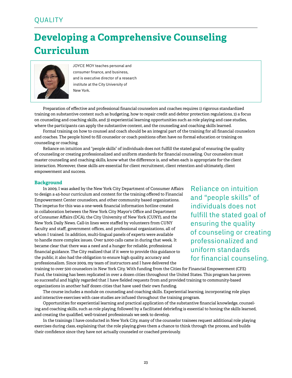## **Developing a Comprehensive Counseling Curriculum**



Joyce Moy teaches personal and consumer finance, and business, and is executive director of a research institute at the City University of New York.

Preparation of effective and professional financial counselors and coaches requires 1) rigorous standardized training on substantive content such as budgeting, how to repair credit and debtor protection regulations, 2) a focus on counseling and coaching skills, and 3) experiential learning opportunities such as role playing and case studies, where the participants can apply the substantive content, and the counseling and coaching skills learned.

Formal training on how to counsel and coach should be an integral part of the training for all financial counselors and coaches. The people hired to fill counselor or coach positions often have no formal education or training on counseling or coaching.

Reliance on intuition and "people skills" of individuals does not fulfill the stated goal of ensuring the quality of counseling or creating professionalized and uniform standards for financial counseling. Our counselors must master counseling and coaching skills, know what the difference is, and when each is appropriate for the client interaction. Moreover, these skills are essential for client recruitment, client retention and ultimately, client empowerment and success.

#### **Background**

In 2009, I was asked by the New York City Department of Consumer Affairs to design a 45-hour curriculum and content for the training offered to Financial Empowerment Center counselors, and other community based organizations. The impetus for this was a one-week financial information hotline created in collaboration between the New York City Mayor's Office and Department of Consumer Affairs (DCA), the City University of New York (CUNY), and the New York Daily News. Call-in lines were staffed by volunteers from CUNY faculty and staff, government offices, and professional organizations, all of whom I trained. In addition, multi-lingual panels of experts were available to handle more complex issues. Over 9,000 calls came in during that week. It became clear that there was a need and a hunger for reliable, professional financial guidance. The City realized that if it were to provide this guidance to the public, it also had the obligation to ensure high quality, accuracy and professionalism. Since 2009, my team of instructors and I have delivered the

Reliance on intuition and "people skills" of individuals does not fulfill the stated goal of ensuring the quality of counseling or creating professionalized and uniform standards for financial counseling.

training to over 500 counselors in New York City. With funding from the Cities for Financial Empowerment (CFE) Fund, the training has been replicated in over a dozen cities throughout the United States. This program has proven so successful and highly regarded that I have fielded requests from and provided training to community-based organizations in another half dozen cities that have used their own funding.

The course includes a module on counseling and coaching skills. Experiential learning, incorporating role plays and interactive exercises with case studies are infused throughout the training program.

Opportunities for experiential learning and practical application of the substantive financial knowledge, counseling and coaching skills, such as role playing, followed by a facilitated debriefing is essential to honing the skills learned, and creating the qualified, well-trained professionals we seek to develop.

In the trainings I have conducted in New York City, many of the counselor trainees request additional role playing exercises during class, explaining that the role playing gives them a chance to think through the process, and builds their confidence since they have not actually counseled or coached previously.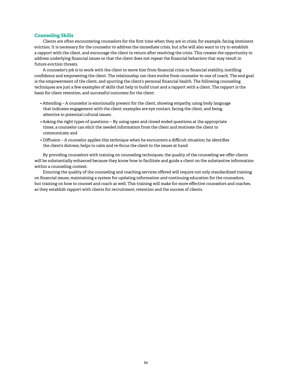#### **Counseling Skills**

Clients are often encountering counselors for the first time when they are in crisis, for example, facing imminent eviction. It is necessary for the counselor to address the immediate crisis, but s/he will also want to try to establish a rapport with the client, and encourage the client to return after resolving the crisis. This creates the opportunity to address underlying financial issues so that the client does not repeat the financial behaviors that may result in future eviction threats.

A counselor's job is to work with the client to move him from financial crisis to financial stability, instilling confidence and empowering the client. The relationship can then evolve from counselor to one of coach. The end goal is the empowerment of the client, and spurring the client's personal financial health. The following counseling techniques are just a few examples of skills that help to build trust and a rapport with a client. The rapport is the basis for client retention, and successful outcomes for the client:

- Attending A counselor is emotionally present for the client, showing empathy, using body language that indicates engagement with the client; examples are eye contact, facing the client, and being attentive to potential cultural issues;
- Asking the right types of questions -- By using open and closed ended questions at the appropriate times, a counselor can elicit the needed information from the client and motivate the client to communicate; and
- Diffusion A counselor applies this technique when he encounters a difficult situation; he identifies the client's distress, helps to calm and re-focus the client to the issues at hand.

By providing counselors with training on counseling techniques, the quality of the counseling we offer clients will be substantially enhanced because they know how to facilitate and guide a client on the substantive information within a counseling context.

Ensuring the quality of the counseling and coaching services offered will require not only standardized training on financial issues, maintaining a system for updating information and continuing education for the counselors, but training on how to counsel and coach as well. This training will make for more effective counselors and coaches, as they establish rapport with clients for recruitment, retention and the success of clients.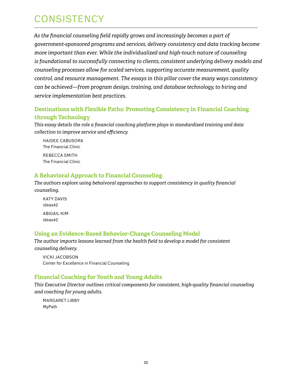## **CONSISTENCY**

*As the financial counseling field rapidly grows and increasingly becomes a part of government-sponsored programs and services, delivery consistency and data tracking become more important than ever. While the individualized and high-touch nature of counseling is foundational to successfully connecting to clients, consistent underlying delivery models and counseling processes allow for scaled services, supporting accurate measurement, quality control, and resource management. The essays in this pillar cover the many ways consistency can be achieved—from program design, training, and database technology, to hiring and service implementation best practices.*

### **Destinations with Flexible Paths: Promoting Consistency in Financial Coaching through Technology**

*This essay details the role a financial coaching platform plays in standardized training and data collection to improve service and efficiency.*

 Haidee Cabusora The Financial Clinic Rebecca Smith The Financial Clinic

### **A Behavioral Approach to Financial Counseling**

*The authors explore using behaivoral approaches to support consistency in quality financial counseling.* 

KATY DAVIS ideas42 Abigail Kim ideas42

### **Using an Evidence-Based Behavior-Change Counseling Model**

*The author imports lessons learned from the health field to develop a model for consistent counseling delivery.*

 Vicki Jacobson Center for Excellence in Financial Counseling

### **Financial Coaching for Youth and Young Adults**

*This Executive Director outlines critical components for consistent, high-quality financial counseling and coaching for young adults.*

Margaret Libby MyPath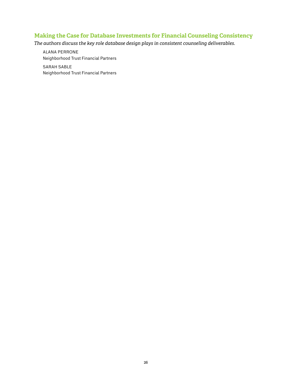### **Making the Case for Database Investments for Financial Counseling Consistency**

*The authors discuss the key role database design plays in consistent counseling deliverables.*

 Alana Perrone Neighborhood Trust Financial Partners

Sarah Sable Neighborhood Trust Financial Partners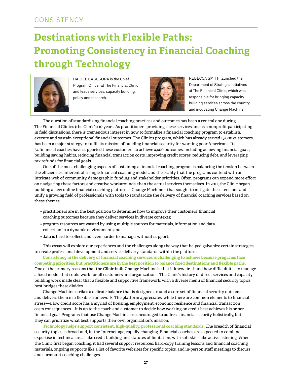## **Destinations with Flexible Paths: Promoting Consistency in Financial Coaching through Technology**



Haidee Cabusora is the Chief Program Officer at The Financial Clinic and leads services, capacity building, policy and research.



Rebecca Smith launched the Department of Strategic Initiatives at The Financial Clinic, which was responsible for bringing capacity building services across the country and incubating Change Machine.

The question of standardizing financial coaching practices and outcomes has been a central one during The Financial Clinic's (the Clinic's) 10 years. As practitioners providing these services and as a nonprofit participating in field discussions, there is tremendous interest in how to formalize a financial coaching program to establish, execute and sustain exceptional financial outcomes. The Clinic's program, which has already served 15,000 customers, has been a major strategy to fulfill its mission of building financial security for working poor Americans. Its 54 financial coaches have supported these customers to achieve 4,400 outcomes, including achieving financial goals, building saving habits, reducing financial transaction costs, improving credit scores, reducing debt, and leveraging tax refunds for financial goals.

One of the most challenging aspects of sustaining a financial coaching program is balancing the tension between the efficiencies inherent of a single financial coaching model and the reality that the programs contend with an intricate web of community, demographic, funding and stakeholder priorities. Often, programs can expend more effort on navigating these factors and creative workarounds, than the actual services themselves. In 2011, the Clinic began building a new online financial coaching platform – Change Machine – that sought to mitigate these tensions and unify a growing field of professionals with tools to standardize the delivery of financial coaching services based on these themes:

- practitioners are in the best position to determine how to improve their customers' financial coaching outcomes because they deliver services in diverse contexts;
- program resources are wasted by using multiple sources for materials, information and data collection in a dynamic environment; and
- data is hard to collect, and even harder to manage, without support.

This essay will explore our experiences and the challenges along the way that helped galvanize certain strategies to create professional development and service delivery standards within the platform.

**Consistency in the delivery of financial coaching services is challenging to achieve because programs face competing priorities, but practitioners are in the best position to balance fixed destinations and flexible paths.** One of the primary reasons that the Clinic built Change Machine is that it knew firsthand how difficult it is to manage a fixed model that could work for all customers and organizations. The Clinic's history of direct services and capacity building work made clear that a flexible and supportive framework, with a diverse menu of financial security topics, best bridges these divides.

Change Machine strikes a delicate balance that is designed around a core set of financial security outcomes and delivers them in a flexible framework. The platform appreciates, while there are common elements to financial stress—a low credit score has a myriad of housing, employment, economic resilience and financial transaction costs consequences—it is up to the coach and customer to decide how working on credit best achieves his or her financial goal. Programs that use Change Machine are encouraged to address financial security holistically, but they can prioritize what best supports their own organization's mission.

**Technology helps support consistent, high-quality, professional coaching standards.** The breadth of financial security topics is broad and, in the Internet age, rapidly changing. Financial coaches are expected to combine expertise in technical areas like credit building and statutes of limitation, with soft skills like active listening. When the Clinic first began coaching, it had several support resources: hard-copy training lessons and financial coaching materials, ongoing supports like a list of favorite websites for specific topics, and in-person staff meetings to discuss and surmount coaching challenges.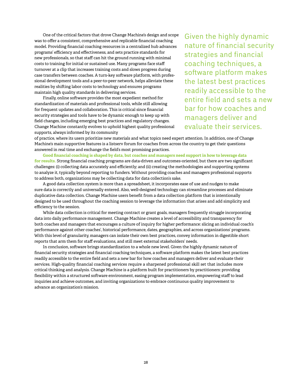One of the critical factors that drove Change Machine's design and scope was to offer a consistent, comprehensive and replicable financial coaching model. Providing financial coaching resources in a centralized hub advances programs' efficiency and effectiveness, and sets practice standards for new professionals, so that staff can hit the ground running with minimal costs to training for initial or sustained use. Many programs face staff turnover at a clip that increases training costs and slows progress during case transfers between coaches. A turn-key software platform, with professional development tools and a peer-to-peer network, helps alleviate these realities by shifting labor costs to technology and ensures programs maintain high quality standards in delivering services.

Finally, online software provides the most expedient method for standardization of materials and professional tools, while still allowing for frequent updates and collaboration. This is critical since financial security strategies and tools have to be dynamic enough to keep up with field changes, including emerging best practices and regulatory changes. Change Machine constantly evolves to uphold highest quality professional supports, always informed by its community

Given the highly dynamic nature of financial security strategies and financial coaching techniques, a software platform makes the latest best practices readily accessible to the entire field and sets a new bar for how coaches and managers deliver and evaluate their services.

of practice, where its users prioritize new materials and what topics need expert attention. In addition, one of Change Machine's main supportive features is a listserv forum for coaches from across the country to get their questions answered in real time and exchange the field's most promising practices.

**Good financial coaching is shaped by data, but coaches and managers need support in how to leverage data for results.** Strong financial coaching programs are data-driven and outcomes-oriented, but there are two significant challenges: (i) collecting data accurately and efficiently; and (ii) creating the methodologies and supporting systems to analyze it, typically beyond reporting to funders. Without providing coaches and managers professional supports to address both, organizations may be collecting data for data collection's sake.

A good data collection system is more than a spreadsheet, it incorporates ease of use and nudges to make sure data is correctly and universally entered. Also, well-designed technology can streamline processes and eliminate duplicative data collection. Change Machine users benefit from a data collection platform that is intentionally designed to be used throughout the coaching session to leverage the information that arises and add simplicity and efficiency to the session.

While data collection is critical for meeting contract or grant goals, managers frequently struggle incorporating data into daily performance management. Change Machine creates a level of accessibility and transparency for both coaches and managers that encourages a culture of inquiry for higher performance: slicing an individual coach's performance against other coaches', historical performance, dates, geographies, and across organizations' programs. With this level of granularity, managers can isolate their own best practices, convey information in digestible short reports that arm them for staff evaluations, and still meet external stakeholders' needs.

In conclusion, software brings standardization to a whole new level. Given the highly dynamic nature of financial security strategies and financial coaching techniques, a software platform makes the latest best practices readily accessible to the entire field and sets a new bar for how coaches and managers deliver and evaluate their services. High-quality financial coaching services require a sharpened professional skill set that includes more critical thinking and analysis. Change Machine is a platform built for practitioners by practitioners: providing flexibility within a structured software environment, easing program implementation, empowering staff to lead inquiries and achieve outcomes, and inviting organizations to embrace continuous quality improvement to advance an organization's mission.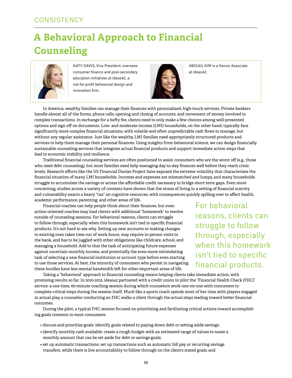## **A Behavioral Approach to Financial Counseling**



KATY DAVIS, Vice President, oversees consumer finance and post-secondary education initiatives at ideas42, a not-for-profit behavioral design and innovation firm.



Abigail Kim is a Senior Associate at ideas42.

In America, wealthy families can manage their finances with personalized, high-touch services. Private bankers handle almost all of the forms, phone calls, opening and closing of accounts, and movement of money involved in complex transactions. In exchange for a hefty fee, clients need to only make a few choices among well-presented options and sign off on documents. Low- and moderate-income (LMI) households, on the other hand, typically face significantly more complex financial situations, with volatile and often unpredictable cash flows to manage, but without any regular assistance. Just like the wealthy, LMI families need appropriately structured products and services to help them manage their personal finances. Using insights from behavioral science, we can design financially sustainable counseling services that integrate actual financial products and support immediate action steps that lead to economic stability and resilience.

Traditional financial counseling services are often positioned to assist consumers who are the worst off (e.g., those who need debt counseling), but most families need help managing day-to-day finances well before they reach crisis levels. Research efforts like the US Financial Diaries Project have exposed the extreme volatility that characterizes the financial situation of many LMI households. Incomes and expenses are mismatched and lumpy, and many households struggle to accumulate the savings or access the affordable credit necessary to bridge short-term gaps. Even more concerning, studies across a variety of contexts have shown that the stress of living in a setting of financial scarcity and vulnerability exacts a heavy "tax" on cognitive resources, with consequences quickly spilling over to affect health, academic performance, parenting, and other areas of life.

Financial coaches can help people think about their finances, but even action-oriented coaches may load clients with additional "homework" to resolve outside of counseling sessions. For behavioral reasons, clients can struggle to follow through, especially when this homework isn't tied to specific financial products. It's not hard to see why. Setting up new accounts or making changes to existing ones takes time out of work hours, may require in-person visits to the bank, and has to be juggled with other obligations like childcare, school, and managing a household. Add to that the task of anticipating future expenses against uncertain monthly income, and potentially the even-more-intimidating task of selecting a new financial institution or account type before even starting to use those services. At best, the minority of consumers who persist in navigating these hurdles have less mental bandwidth left for other important areas of life.

For behavioral reasons, clients can struggle to follow through, especially when this homework isn't tied to specific financial products.

Taking a "behavioral" approach to financial counseling means helping clients take immediate action, with promising results so far. In 2010-2012, ideas42 partnered with a credit union to pilot the "Financial Health Check (FHC)" service: a one-time, 60-minute coaching session during which counselors work one-on-one with consumers to complete critical steps during the session itself. Much like a sports coach spends most of her time with players engaged in actual play, a counselor conducting an FHC walks a client through the actual steps leading toward better financial outcomes.

During the pilot, a typical FHC session focused on prioritizing and facilitating critical actions toward accomplishing goals common to most consumers:

- discuss and prioritize goals: identify goals related to paying down debt or setting aside savings;
- identify monthly cash available: create a rough budget with an estimated range of values to name a monthly amount that can be set aside for debt or savings goals;
- set up automatic transactions: set up transactions such as automatic bill pay or recurring savings transfers, while there is live accountability to follow through on the client's stated goals; and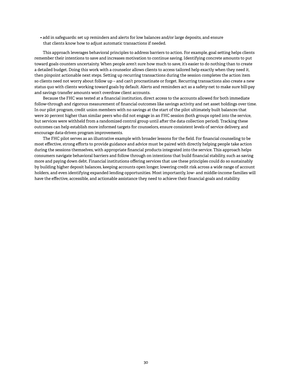• add in safeguards: set up reminders and alerts for low balances and/or large deposits, and ensure that clients know how to adjust automatic transactions if needed.

This approach leverages behavioral principles to address barriers to action. For example, goal setting helps clients remember their intentions to save and increases motivation to continue saving. Identifying concrete amounts to put toward goals counters uncertainty. When people aren't sure how much to save, it's easier to do nothing than to create a detailed budget. Doing this work with a counselor allows clients to access tailored help exactly when they need it, then pinpoint actionable next steps. Setting up recurring transactions during the session completes the action item so clients need not worry about follow up – and can't procrastinate or forget. Recurring transactions also create a new status quo with clients working toward goals by default. Alerts and reminders act as a safety-net to make sure bill-pay and savings transfer amounts won't overdraw client accounts.

Because the FHC was tested at a financial institution, direct access to the accounts allowed for both immediate follow-through and rigorous measurement of financial outcomes like savings activity and net asset holdings over time. In our pilot program, credit union members with no savings at the start of the pilot ultimately built balances that were 20 percent higher than similar peers who did not engage in an FHC session (both groups opted into the service, but services were withheld from a randomized control group until after the data collection period). Tracking these outcomes can help establish more informed targets for counselors, ensure consistent levels of service delivery, and encourage data-driven program improvements.

The FHC pilot serves as an illustrative example with broader lessons for the field. For financial counseling to be most effective, strong efforts to provide guidance and advice must be paired with directly helping people take action during the sessions themselves, with appropriate financial products integrated into the service. This approach helps consumers navigate behavioral barriers and follow through on intentions that build financial stability, such as saving more and paying down debt. Financial institutions offering services that use these principles could do so sustainably by building higher deposit balances, keeping accounts open longer, lowering credit risk across a wide range of account holders, and even identifying expanded lending opportunities. Most importantly, low- and middle-income families will have the effective, accessible, and actionable assistance they need to achieve their financial goals and stability.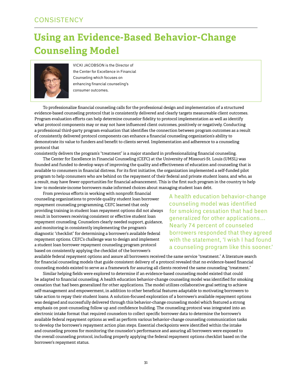## **Using an Evidence-Based Behavior-Change Counseling Model**



Vicki Jacobson is the Director of the Center for Excellence in Financial Counseling which focuses on enhancing financial counseling's consumer outcomes.

To professionalize financial counseling calls for the professional design and implementation of a structured evidence-based counseling protocol that is consistently delivered and clearly targets measureable client outcomes. Program evaluation efforts can help determine counselor fidelity to protocol implementation as well as identify what protocol components may or may not have influenced client outcomes, positively or negatively. Conducting a professional third-party program evaluation that identifies the connection between program outcomes as a result of consistently delivered protocol components can enhance a financial counseling organization's ability to demonstrate its value to funders and benefit to clients served. Implementation and adherence to a counseling protocol that

consistently delivers the program's "treatment" is a major standard in professionalizing financial counseling.

The Center for Excellence in Financial Counseling (CEFC) at the University of Missouri-St. Louis (UMSL) was founded and funded to develop ways of improving the quality and effectiveness of education and counseling that is available to consumers in financial distress. For its first initiative, the organization implemented a self-funded pilot program to help consumers who are behind on the repayment of their federal and private student loans, and who, as a result, may have fewer opportunities for financial advancement. This is the first such program in the country to help low- to moderate-income borrowers make informed choices about managing student loan debt.

From previous efforts in working with nonprofit financial counseling organizations to provide quality student loan borrower repayment counseling programming, CEFC learned that only providing training in student loan repayment options did not always result in borrowers receiving consistent or effective student loan repayment counseling. Counselors clearly needed support, guidance, and monitoring in consistently implementing the program's diagnostic "checklist" for determining a borrower's available federal repayment options. CEFC's challenge was to design and implement a student loan borrower repayment counseling program protocol based on consistently applying the checklist of the borrower's

A health education behavior-change counseling model was identified for smoking cessation that had been generalized for other applications… Nearly 74 percent of counseled borrowers responded that they agreed with the statement, 'I wish I had found a counseling program like this sooner.'

available federal repayment options and assure all borrowers received the same service "treatment." A literature search for financial counseling models that guide consistent delivery of a protocol revealed that no evidence-based financial counseling models existed to serve as a framework for assuring all clients received the same counseling "treatment."

Similar helping fields were explored to determine if an evidence-based counseling model existed that could be adapted to financial counseling. A health education behavior-change counseling model was identified for smoking cessation that had been generalized for other applications. The model utilizes collaborative goal setting to achieve self-management and empowerment, in addition to other beneficial features adaptable to motivating borrowers to take action to repay their student loans. A solution-focused exploration of a borrower's available repayment options was designed and successfully delivered through this behavior-change counseling model which featured a strong emphasis on post-counseling follow up and confidence building. The counseling protocol was integrated into an electronic intake format that required counselors to collect specific borrower data to determine the borrower's available federal repayment options as well as perform various behavior-change counseling communication tasks to develop the borrower's repayment action plan steps. Essential checkpoints were identified within the intake and counseling process for monitoring the counselor's performance and assuring all borrowers were exposed to the overall counseling protocol, including properly applying the federal repayment options checklist based on the borrower's repayment status.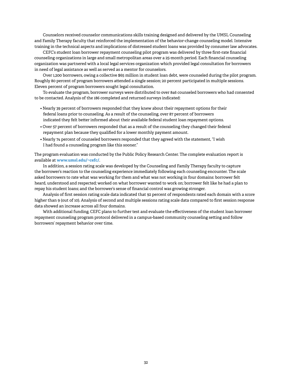Counselors received counselor communications skills training designed and delivered by the UMSL Counseling and Family Therapy faculty that reinforced the implementation of the behavior-change counseling model. Intensive training in the technical aspects and implications of distressed student loans was provided by consumer law advocates.

CEFC's student loan borrower repayment counseling pilot program was delivered by three first-rate financial counseling organizations in large and small metropolitan areas over a 25-month period. Each financial counseling organization was partnered with a local legal services organization which provided legal consultation for borrowers in need of legal assistance as well as served as a mentor for counselors.

Over 1,200 borrowers, owing a collective \$65 million in student loan debt, were counseled during the pilot program. Roughly 80 percent of program borrowers attended a single session; 20 percent participated in multiple sessions. Eleven percent of program borrowers sought legal consultation.

To evaluate the program, borrower surveys were distributed to over 846 counseled borrowers who had consented to be contacted. Analysis of the 186 completed and returned surveys indicated:

- Nearly 39 percent of borrowers responded that they knew about their repayment options for their federal loans prior to counseling. As a result of the counseling, over 87 percent of borrowers indicated they felt better informed about their available federal student loan repayment options.
- Over 57 percent of borrowers responded that as a result of the counseling they changed their federal repayment plan because they qualified for a lower monthly payment amount.
- Nearly 74 percent of counseled borrowers responded that they agreed with the statement, "I wish I had found a counseling program like this sooner."

The program evaluation was conducted by the Public Policy Research Center. The complete evaluation report is available at **<www.umsl.edu/~cefc/>**.

In addition, a session rating scale was developed by the Counseling and Family Therapy faculty to capture the borrower's reaction to the counseling experience immediately following each counseling encounter. The scale asked borrowers to rate what was working for them and what was not working in four domains: borrower felt heard, understood and respected; worked on what borrower wanted to work on; borrower felt like he had a plan to repay his student loans; and the borrower's sense of financial control was growing stronger.

Analysis of first session rating scale data indicated that 92 percent of respondents rated each domain with a score higher than 9 (out of 10). Analysis of second and multiple sessions rating scale data compared to first session response data showed an increase across all four domains.

With additional funding, CEFC plans to further test and evaluate the effectiveness of the student loan borrower repayment counseling program protocol delivered in a campus-based community counseling setting and follow borrowers' repayment behavior over time.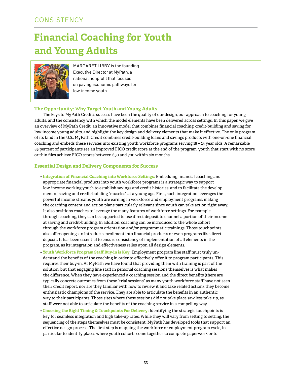## **Financial Coaching for Youth and Young Adults**



MARGARET LIBBY is the founding Executive Director at MyPath, a national nonprofit that focuses on paving economic pathways for low-income youth.

#### **The Opportunity: Why Target Youth and Young Adults**

The keys to MyPath Credit's success have been the quality of our design, our approach to coaching for young adults, and the consistency with which the model elements have been delivered across settings. In this paper, we give an overview of MyPath Credit, an innovative model that combines financial coaching, credit-building and saving for low-income young adults, and highlight the key design and delivery elements that make it effective. The only program of its kind in the U.S., MyPath Credit combines credit-building loans and savings products with one-on-one financial coaching and embeds these services into existing youth workforce programs serving 18 – 24 year olds. A remarkable 85 percent of participants see an improved FICO credit score at the end of the program; youth that start with no score or thin files achieve FICO scores between 650 and 700 within six months.

#### **Essential Design and Delivery Components for Success**

- **Integration of Financial Coaching into Workforce Settings:** Embedding financial coaching and appropriate financial products into youth workforce programs is a strategic way to support low-income working youth to establish savings and credit histories, and to facilitate the development of saving and credit-building "muscles" at a young age. First, such integration leverages the powerful income streams youth are earning in workforce and employment programs, making the coaching content and action plans particularly relevant since youth can take action right away. It also positions coaches to leverage the many features of workforce settings. For example, through coaching, they can be supported to use direct deposit to channel a portion of their income at saving and credit-building. In addition, coaching can be introduced to the whole cohort through the workforce program orientation and/or programmatic trainings. Those touchpoints also offer openings to introduce enrollment into financial products or even programs like direct deposit. It has been essential to ensure consistency of implementation of all elements in the program, as its integration and effectiveness relies upon all design elements.
- **Youth Workforce Program Staff Buy-in is Key:** Employment program line staff must truly understand the benefits of the coaching in order to effectively offer it to program participants. This requires their buy-in. At MyPath we have found that providing them with training is part of the solution, but that engaging line staff in personal coaching sessions themselves is what makes the difference. When they have experienced a coaching session and the direct benefits (there are typically concrete outcomes from these "trial sessions" as many youth workforce staff have not seen their credit report, nor are they familiar with how to review it and take related action), they become enthusiastic champions of the service. They are able to articulate the benefits in an authentic way to their participants. Those sites where these sessions did not take place saw less take-up, as staff were not able to articulate the benefits of the coaching service in a compelling way.
- **Choosing the Right Timing & Touchpoints For Delivery:** Identifying the strategic touchpoints is key for seamless integration and high take-up rates. While they will vary from setting to setting, the sequencing of the steps themselves must be consistent. MyPath has developed tools that support an effective design process. The first step is mapping the workforce or employment program cycle, in particular to identify places where youth cohorts come together to complete paperwork or to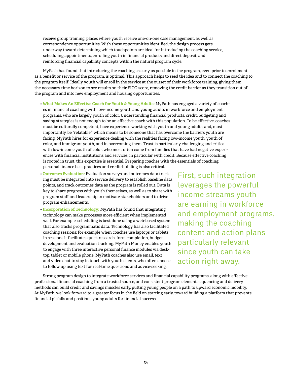receive group training, places where youth receive one-on-one case management, as well as correspondence opportunities. With these opportunities identified, the design process gets underway toward determining which touchpoints are ideal for introducing the coaching service, scheduling appointments, enrolling youth in financial products and direct deposit, and reinforcing financial capability concepts within the natural program cycle.

MyPath has found that introducing the coaching as early as possible in the program, even prior to enrollment as a benefit or service of the program, is optimal. This approach helps to seed the idea and to connect the coaching to the program itself. Ideally youth will enroll in the service at the outset of their workforce training, giving them the necessary time horizon to see results on their FICO score, removing the credit barrier as they transition out of the program and into new employment and housing opportunities.

- **What Makes An Effective Coach for Youth & Young Adults:** MyPath has engaged a variety of coaches in financial coaching with low-income youth and young adults in workforce and employment programs, who are largely youth of color. Understanding financial products, credit, budgeting and saving strategies is not enough to be an effective coach with this population. To be effective, coaches must be culturally competent, have experience working with youth and young adults, and, most importantly, be "relatable," which means to be someone that has overcome the barriers youth are facing. MyPath hires for experience dealing with the realities facing low-income youth, youth of color, and immigrant youth, and in overcoming them. Trust is particularly challenging and critical with low-income youth of color, who most often come from families that have had negative experiences with financial institutions and services, in particular with credit. Because effective coaching is rooted in trust, this expertise is essential. Preparing coaches with the essentials of coaching, personal finance best practices and credit-building is also critical.
- **Outcomes Evaluation:** Evaluation surveys and outcomes data tracking must be integrated into service delivery to establish baseline data points, and track outcomes data as the program is rolled out. Data is key to share progress with youth themselves, as well as to share with program staff and leadership to motivate stakeholders and to drive program enhancements.
- **Incorporation of Technology:** MyPath has found that integrating technology can make processes more efficient when implemented well. For example, scheduling is best done using a web-based system that also tracks programmatic data. Technology has also facilitated coaching sessions; for example when coaches use laptops or tablets in sessions it facilitates quick research, form completion, budget development and evaluation tracking. MyPath Money enables youth to engage with three interactive personal finance modules via desktop, tablet or mobile phone. MyPath coaches also use email, text and video chat to stay in touch with youth clients, who often choose to follow up using text for real-time questions and advice-seeking.

First, such integration leverages the powerful income streams youth are earning in workforce and employment programs, making the coaching content and action plans particularly relevant since youth can take action right away.

Strong program design to integrate workforce services and financial capability programs, along with effective professional financial coaching from a trusted source, and consistent program element sequencing and delivery methods can build credit and savings muscles early, putting young people on a path to upward economic mobility. At MyPath, we look forward to a greater focus in the field on starting early, toward building a platform that prevents financial pitfalls and positions young adults for financial success.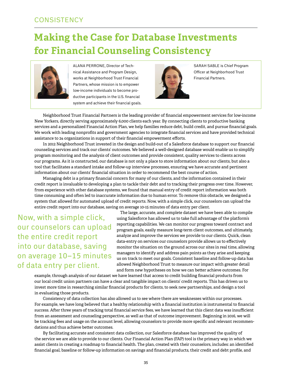## **Making the Case for Database Investments for Financial Counseling Consistency**



Alana Perrone, Director of Technical Assistance and Program Design, works at Neighborhood Trust Financial Partners, whose mission is to empower low-income individuals to become productive participants in the U.S. financial system and achieve their financial goals.



SARAH SABLE is Chief Program Officer at Neighborhood Trust Financial Partners.

Neighborhood Trust Financial Partners is the leading provider of financial empowerment services for low-income New Yorkers, directly serving approximately 6,000 clients each year. By connecting clients to productive banking services and a personalized Financial Action Plan, we help families reduce debt, build credit, and pursue financial goals. We work with leading nonprofits and government agencies to integrate financial services and have provided technical assistance to 24 organizations in support of their financial empowerment efforts.

In 2012 Neighborhood Trust invested in the design and build-out of a Salesforce database to support our financial counseling services and track our clients' outcomes. We believed a well-designed database would enable us to simplify program monitoring and the analysis of client outcomes and provide consistent, quality services to clients across our programs. As it is constructed, our database is not only a place to store information about our clients, but also a tool that facilitates a standard intake and follow-up interview processes, ensuring we have accurate and pertinent information about our clients' financial situation in order to recommend the best course of action.

Managing debt is a primary financial concern for many of our clients, and the information contained in their credit report is invaluable to developing a plan to tackle their debt and to tracking their progress over time. However, from experience with other database systems, we found that manual entry of credit report information was both time consuming and often led to inaccurate information due to human error. To remove this obstacle, we designed a system that allowed for automated upload of credit reports. Now, with a simple click, our counselors can upload the entire credit report into our database, saving on average 10-15 minutes of data entry per client.

Now, with a simple click, our counselors can upload the entire credit report into our database, saving on average 10–15 minutes of data entry per client.

The large, accurate, and complete dataset we have been able to compile using Salesforce has allowed us to take full advantage of the platform's reporting capabilities. We can monitor our progress toward contract and program goals, easily measure long-term client outcomes, and ultimately, analyze and improve the services we provide to our clients. Quick, clean data-entry on services our counselors provide allows us to effectively monitor the situation on the ground across our sites in real time, allowing managers to identify and address pain points as they arise and keeping us on track to meet our goals. Consistent baseline and follow-up data has allowed Neighborhood Trust to measure our impact with greater detail and form new hypotheses on how we can better achieve outcomes. For

example, through analysis of our dataset we have learned that access to credit building financial products from our local credit union partners can have a clear and tangible impact on clients' credit reports. This has driven us to invest more time in researching similar financial products for clients, to seek new partnerships, and design a tool in evaluating those products.

Consistency of data collection has also allowed us to see where there are weaknesses within our processes. For example, we have long believed that a healthy relationship with a financial institution is instrumental to financial success. After three years of tracking total financial service fees, we have learned that this client data was insufficient from an assessment and counseling perspective, as well as that of outcome improvement. Beginning in 2016, we will be tracking fees and usage on the account level, allowing counselors to provide more specific and relevant recommendations and thus achieve better outcomes.

By facilitating accurate and consistent data collection, our Salesforce database has improved the quality of the service we are able to provide to our clients. Our Financial Action Plan (FAP) tool is the primary way in which we assist clients in creating a roadmap to financial health. The plan, created with their counselors, includes: an identified financial goal, baseline or follow-up information on savings and financial products, their credit and debt profile, and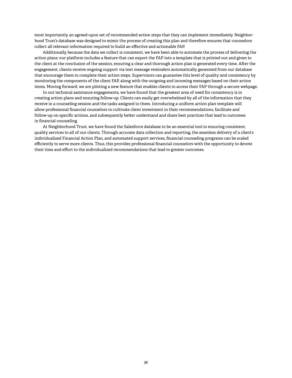most importantly, an agreed-upon set of recommended action steps that they can implement immediately. Neighborhood Trust's database was designed to mimic the process of creating this plan and therefore ensures that counselors collect all relevant information required to build an effective and actionable FAP.

Additionally, because the data we collect is consistent, we have been able to automate the process of delivering the action plans: our platform includes a feature that can export the FAP into a template that is printed out and given to the client at the conclusion of the session, ensuring a clear and thorough action plan is generated every time. After the engagement, clients receive ongoing support via text message reminders automatically generated from our database that encourage them to complete their action steps. Supervisors can guarantee this level of quality and consistency by monitoring the components of the client FAP, along with the outgoing and incoming messages based on their action items. Moving forward, we are piloting a new feature that enables clients to access their FAP through a secure webpage.

In our technical assistance engagements, we have found that the greatest area of need for consistency is in creating action plans and ensuring follow-up. Clients can easily get overwhelmed by all of the information that they receive in a counseling session and the tasks assigned to them. Introducing a uniform action plan template will allow professional financial counselors to cultivate client investment in their recommendations, facilitate and follow-up on specific actions, and subsequently better understand and share best practices that lead to outcomes in financial counseling.

At Neighborhood Trust, we have found the Salesforce database to be an essential tool in ensuring consistent, quality services to all of our clients. Through accurate data collection and reporting, the seamless delivery of a client's individualized Financial Action Plan, and automated support services, financial counseling programs can be scaled efficiently to serve more clients. Thus, this provides professional financial counselors with the opportunity to devote their time and effort to the individualized recommendations that lead to greater outcomes.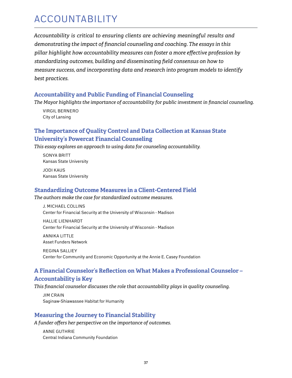## **ACCOUNTABILITY**

*Accountability is critical to ensuring clients are achieving meaningful results and demonstrating the impact of financial counseling and coaching. The essays in this pillar highlight how accountability measures can foster a more effective profession by standardizing outcomes, building and disseminating field consensus on how to measure success, and incorporating data and research into program models to identify best practices.*

### **Accountability and Public Funding of Financial Counseling**

*The Mayor highlights the importance of accountability for public investment in financial counseling.*

 Virgil Bernero City of Lansing

### **The Importance of Quality Control and Data Collection at Kansas State University's Powercat Financial Counseling**

*This essay explores an approach to using data for counseling accountability.*

Sonya Britt Kansas State University

Jodi Kaus Kansas State University

### **Standardizing Outcome Measures in a Client-Centered Field**

#### *The authors make the case for standardized outcome measures.*

J. Michael Collins Center for Financial Security at the University of Wisconsin - Madison

 Hallie Lienhardt Center for Financial Security at the University of Wisconsin - Madison

 Annika Little Asset Funders Network

Regina Salliey Center for Community and Economic Opportunity at the Annie E. Casey Foundation

## **A Financial Counselor's Reflection on What Makes a Professional Counselor –**

### **Accountability is Key**

*This financial counselor discusses the role that accountability plays in quality counseling.*

Jim Crain Saginaw-Shiawassee Habitat for Humanity

### **Measuring the Journey to Financial Stability**

*A funder offers her perspective on the importance of outcomes.*

 Anne Guthrie Central Indiana Community Foundation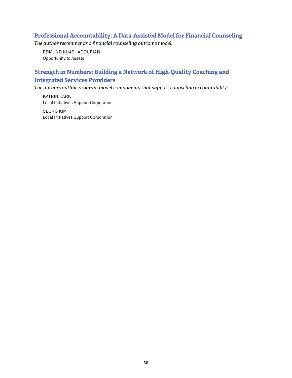### **Professional Accountability: A Data-Assisted Model for Financial Counseling**

*The author recommends a financial counseling outcome model.*

 Edmund Khashadourian Opportunity to Assets

### **Strength in Numbers: Building a Network of High-Quality Coaching and Integrated Services Providers**

*The authors outline program model components that support counseling accountability.*

 Katrin KÄrk Local Initiatives Support Corporation

Seung Kim Local Initiatives Support Corporation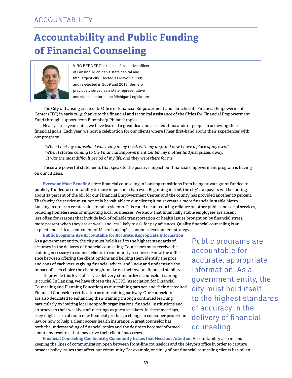## **Accountability and Public Funding of Financial Counseling**



VIRG BERNERO is the chief executive officer of Lansing, Michigan's state capital and fifth largest city. Elected as Mayor in 2005 and re-elected in 2009 and 2013, Bernero previously served as a state representative and state senator in the Michigan Legislature.

The City of Lansing created its Office of Financial Empowerment and launched its Financial Empowerment Center (FEC) in early 2013, thanks to the financial and technical assistance of the Cities for Financial Empowerment Fund through support from Bloomberg Philanthropies.

Nearly three years later, we have learned a great deal and assisted thousands of people in achieving their financial goals. Each year, we host a celebration for our clients where I hear first-hand about their experiences with our program:

*"When I met my counselor, I was living in my truck with my dog, and now I have a place of my own." "When I started coming to the Financial Empowerment Center, my mother had just passed away. It was the most difficult period of my life, and they were there for me."*

These are powerful statements that speak to the positive impact our financial empowerment program is having on our citizens.

**Everyone Must Benefit** As free financial counseling in Lansing transitions from being private grant-funded to publicly-funded, accountability is more important than ever. Beginning in 2016, the city's taxpayers will be footing about 25 percent of the bill for our Financial Empowerment Center, and the county has provided another 20 percent. That's why the service must not only be valuable to our clients; it must create a more financially stable Metro Lansing in order to create value for all residents. This could mean reducing reliance on other public and social services, reducing homelessness or impacting local businesses. We know that financially stable employees are absent less often for reasons that include lack of reliable transportation or health issues brought on by financial stress, more present when they are at work, and less likely to ask for pay advances. Quality financial counseling is an explicit and critical component of Metro Lansing's economic development strategy.

**Public Programs Are Accountable for Accurate, Appropriate Information** As a government entity, the city must hold itself to the highest standards of accuracy in the delivery of financial counseling. Counselors must receive the training necessary to connect clients to community resources; know the difference between offering the client options and helping them identify the pros and cons of each versus giving financial advice; and know and understand the impact of each choice the client might make on their overall financial stability.

To provide this level of service delivery, standardized counselor training is crucial. In Lansing, we have chosen the AFCPE (Association for Financial Counseling and Planning Education) as our training partner, and their Accredited Financial Counselor certification as our training pathway. Our counselors are also dedicated to enhancing their training through continued learning, particularly by inviting local nonprofit organizations, financial institutions and attorneys to their weekly staff meetings as guest speakers. In these meetings, they might learn about a new financial product, a change in consumer protection law, or how to help a client access health insurance. A great counselor has both the understanding of financial topics and the desire to become informed about any resource that may drive their clients' successes.

Public programs are accountable for accurate, appropriate information. As a government entity, the city must hold itself to the highest standards of accuracy in the delivery of financial counseling.

**Financial Counseling Can Identify Community Issues that Need our Attention** Accountability also means keeping the lines of communication open between front-line counselors and the Mayor's office in order to capture broader policy issues that affect our community. For example, one in 13 of our financial counseling clients has taken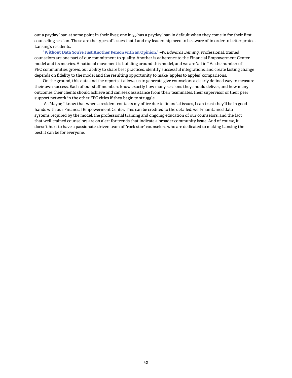out a payday loan at some point in their lives; one in 35 has a payday loan in default when they come in for their first counseling session. These are the types of issues that I and my leadership need to be aware of in order to better protect Lansing's residents.

**"Without Data You're Just Another Person with an Opinion."** *–W. Edwards Deming*. Professional, trained counselors are one part of our commitment to quality. Another is adherence to the Financial Empowerment Center model and its metrics. A national movement is building around this model, and we are "all in." As the number of FEC communities grows, our ability to share best practices, identify successful integrations, and create lasting change depends on fidelity to the model and the resulting opportunity to make "apples to apples" comparisons.

On the ground, this data and the reports it allows us to generate give counselors a clearly defined way to measure their own success. Each of our staff members know exactly how many sessions they should deliver, and how many outcomes their clients should achieve and can seek assistance from their teammates, their supervisor or their peer support network in the other FEC cities if they begin to struggle.

 As Mayor, I know that when a resident contacts my office due to financial issues, I can trust they'll be in good hands with our Financial Empowerment Center. This can be credited to the detailed, well-maintained data systems required by the model, the professional training and ongoing education of our counselors, and the fact that well-trained counselors are on alert for trends that indicate a broader community issue. And of course, it doesn't hurt to have a passionate, driven team of "rock star" counselors who are dedicated to making Lansing the best it can be for everyone.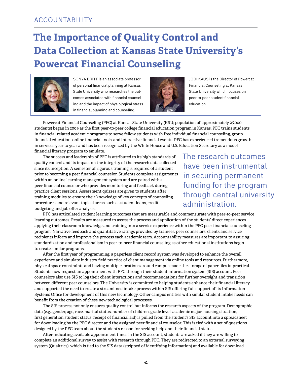## **The Importance of Quality Control and Data Collection at Kansas State University's Powercat Financial Counseling**



SONYA BRITT is an associate professor of personal financial planning at Kansas State University who researches the outcomes associated with financial counseling and the impact of physiological stress in financial planning and counseling.



JODI KAUS is the Director of Powercat Financial Counseling at Kansas State University which focuses on peer-to-peer student financial education.

Powercat Financial Counseling (PFC) at Kansas State University (KSU; population of approximately 25,000 students) began in 2009 as the first peer-to-peer college financial education program in Kansas. PFC trains students in financial-related academic programs to serve fellow students with free individual financial counseling, group financial education, online financial tools, and interactive financial events. PFC has experienced tremendous growth in services year to year and has been recognized by the White House and U.S. Education Secretary as a model financial literacy program to emulate.

The success and leadership of PFC is attributed to its high standards of quality control and its impact on the integrity of the research data collected since its inception. A semester of rigorous training is required of a student prior to becoming a peer financial counselor. Students complete assignments within an online learning management system and are paired with a peer financial counselor who provides monitoring and feedback during practice client sessions. Assessment quizzes are given to students after training modules to ensure their knowledge of key concepts of counseling procedures and relevant topical areas such as student loans, credit, budgeting and job offer analysis.

The research outcomes have been instrumental in securing permanent funding for the program through central university administration.

PFC has articulated student learning outcomes that are measurable and commensurate with peer-to-peer service learning outcomes. Results are measured to assess the process and application of the students' direct experiences applying their classroom knowledge and training into a service experience within the PFC peer financial counseling program. Narrative feedback and quantitative ratings provided by trainees, peer counselors, clients and service recipients inform and improve the process each academic term. Accountability measures are important to assuring standardization and professionalism in peer-to-peer financial counseling as other educational institutions begin to create similar programs.

After the first year of programming, a paperless client record system was developed to enhance the overall experience and simulate industry field practice of client management via online tools and resources. Furthermore, physical space constraints and having multiple locations around campus made the storage of paper files impractical. Students now request an appointment with PFC through their student information system (SIS) account. Peer counselors also use SIS to log their client interactions and recommendations for further oversight and transition between different peer counselors. The University is committed to helping students enhance their financial literacy and supported the need to create a streamlined intake process within SIS offering full support of its Information Systems Office for development of this new technology. Other campus entities with similar student intake needs can benefit from the creation of these new technological processes.

The SIS process not only ensures quality control but informs the research aspects of the program. Demographic data (e.g., gender, age, race, marital status, number of children, grade level, academic major, housing situation, first generation student status, receipt of financial aid) is pulled from the student's SIS account into a spreadsheet for downloading by the PFC director and the assigned peer financial counselor. This is tied with a set of questions designed by the PFC team about the student's reason for seeking help and their financial status.

After indicating available appointment times in the SIS account, students are asked if they are willing to complete an additional survey to assist with research through PFC. They are redirected to an external surveying system (Qualtrics), which is tied to the SIS data (stripped of identifying information) and available for download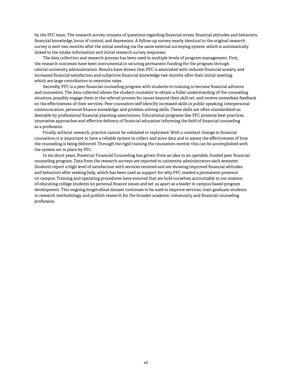by the PFC team. The research survey consists of questions regarding financial stress, financial attitudes and behaviors, financial knowledge, locus of control, and depression. A follow-up survey nearly identical to the original research survey is sent two months after the initial meeting via the same external surveying system, which is automatically linked to the intake information and initial research survey responses.

The data collection and research process has been used in multiple levels of program management. First, the research outcomes have been instrumental in securing permanent funding for the program through central university administration. Results have shown that PFC is associated with reduced financial anxiety and increased financial satisfaction and subjective financial knowledge two months after their initial meeting, which are large contributors to retention rates.

Secondly, PFC is a peer financial counseling program with students-in-training to become financial advisors and counselors. The data collected allows the student counselor to obtain a fuller understanding of the counseling situation, possibly engage them in the referral process for issues beyond their skill set, and receive immediate feedback on the effectiveness of their services. Peer counselors self-identify increased skills in public speaking, interpersonal communication, personal finance knowledge, and problem solving skills. These skills are often standardized as desirable by professional financial planning associations. Educational programs like PFC promote best practices, innovative approaches and effective delivery of financial education informing the field of financial counseling as a profession.

Finally, without research, practice cannot be validated or replicated. With a constant change in financial counselors, it is important to have a reliable system to collect and store data and to assess the effectiveness of how the counseling is being delivered. Through the rigid training the counselors receive, this can be accomplished with the system set in place by PFC.

In six short years, Powercat Financial Counseling has grown from an idea to an operable, funded peer financial counseling program. Data from the research surveys are reported to university administrators each semester. Students report a high level of satisfaction with services received and are showing improved financial attitudes and behaviors after seeking help, which has been used as support for why PFC needed a permanent presence on campus. Training and operating procedures have ensured that we hold ourselves accountable to our mission of educating college students on personal finance issues and set us apart as a leader in campus-based program development. This ongoing longitudinal dataset continues to be used to improve services, train graduate students in research methodology, and publish research for the broader academic community and financial counseling profession.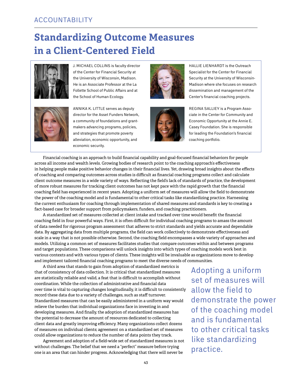## **Standardizing Outcome Measures in a Client-Centered Field**



J. Michael Collins is faculty director of the Center for Financial Security at the University of Wisconsin, Madison. He is an Associate Professor at the La Follette School of Public Affairs and at the School of Human Ecology.



Annika K. Little serves as deputy director for the Asset Funders Network, a community of foundations and grantmakers advancing programs, policies, and strategies that promote poverty alleviation, economic opportunity, and economic security.





HALLIE LIENHARDT is the Outreach Specialist for the Center for Financial Security at the University of Wisconsin-Madison where she focuses on research dissemination and management of the Center's financial coaching projects.

Regina Salliey is a Program Associate in the Center for Community and Economic Opportunity at the Annie E. Casey Foundation. She is responsible for leading the Foundation's financial coaching portfolio.

Financial coaching is an approach to build financial capability and goal-focused financial behaviors for people across all income and wealth levels. Growing bodies of research point to the coaching approach's effectiveness in helping people make positive behavior changes in their financial lives. Yet, drawing broad insights about the effects of coaching and comparing outcomes across studies is difficult as financial coaching programs collect and calculate client outcome measures in a wide variety of ways. Reflecting the field's lack of standards of practice, the development of more robust measures for tracking client outcomes has not kept pace with the rapid growth that the financial coaching field has experienced in recent years. Adopting a uniform set of measures will allow the field to demonstrate the power of the coaching model and is fundamental to other critical tasks like standardizing practice. Harnessing the current enthusiasm for coaching through implementation of shared measures and standards is key to creating a fact-based case for broader support from policymakers, funders, and coaching practitioners.

A standardized set of measures collected at client intake and tracked over time would benefit the financial coaching field in four powerful ways. First, it is often difficult for individual coaching programs to amass the amount of data needed for rigorous program assessment that adheres to strict standards and yields accurate and dependable data. By aggregating data from multiple programs, the field can work collectively to demonstrate effectiveness and scale in a way that is not possible otherwise. Second, the coaching field encompasses a wide variety of approaches and models. Utilizing a common set of measures facilitates studies that compare outcomes within and between programs and target populations. These comparisons will unlock insights into which types of coaching models work best in various contexts and with various types of clients. These insights will be invaluable as organizations move to develop and implement tailored financial coaching programs to meet the diverse needs of communities.

A third area that stands to gain from adoption of standardized metrics is that of consistency of data collection. It is critical that standardized measures are statistically reliable and valid, a feat that is difficult to accomplish without coordination. While the collection of administrative and financial data over time is vital to capturing changes longitudinally, it is difficult to consistently record these data due to a variety of challenges, such as staff turnover. Standardized measures that can be easily administered in a uniform way would relieve the burden that individual organizations face in investing in and developing measures. And finally, the adoption of standardized measures has the potential to decrease the amount of resources dedicated to collecting client data and greatly improving efficiency. Many organizations collect dozens of measures on individual clients; agreement on a standardized set of measures could allow organizations to reduce the number of data points they track.

Agreement and adoption of a field-wide set of standardized measures is not without challenges. The belief that we need a "perfect" measure before trying one is an area that can hinder progress. Acknowledging that there will never be

Adopting a uniform set of measures will allow the field to demonstrate the power of the coaching model and is fundamental to other critical tasks like standardizing practice.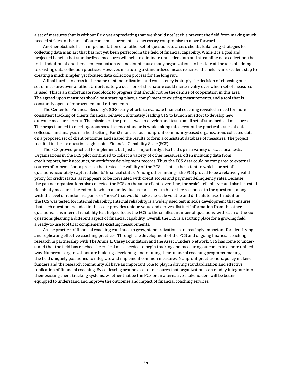a set of measures that is without flaw, yet appreciating that we should not let this prevent the field from making much needed strides in the area of outcome measurement, is a necessary compromise to move forward.

Another obstacle lies in implementation of another set of questions to assess clients. Balancing strategies for collecting data is an art that has not yet been perfected in the field of financial capability. While it is a goal and projected benefit that standardized measures will help to eliminate unneeded data and streamline data collection, the initial addition of another client evaluation will no doubt cause many organizations to hesitate at the idea of adding to existing data collection practices. However, instituting a standardized measure across the field is an excellent step to creating a much simpler, yet focused data collection process for the long run.

A final hurdle to cross in the name of standardization and consistency is simply the decision of choosing one set of measures over another. Unfortunately, a decision of this nature could incite rivalry over which set of measures is used. This is an unfortunate roadblock to progress that should not be the demise of cooperation in this area. The agreed-upon measures should be a starting place, a compliment to existing measurements, and a tool that is constantly open to improvement and refinements.

The Center for Financial Security's (CFS) early efforts to evaluate financial coaching revealed a need for more consistent tracking of clients' financial behavior, ultimately leading CFS to launch an effort to develop new outcome measures in 2011. The mission of the project was to develop and test a small set of standardized measures. The project aimed to meet rigorous social science standards while taking into account the practical issues of data collection and analysis in a field setting. For 18 months, four nonprofit community-based organizations collected data on a proposed set of client outcomes and shared the results to form a consistent database of measures. The project resulted in the six-question, eight-point Financial Capability Scale (FCS).

The FCS proved practical to implement, but just as importantly, also held up in a variety of statistical tests. Organizations in the FCS pilot continued to collect a variety of other measures, often including data from credit reports, bank accounts, or workforce development records. Thus, the FCS data could be compared to external sources of information, a process that tested the validity of the FCS—that is, the extent to which the set of questions accurately captured clients' financial status. Among other findings, the FCS proved to be a relatively valid proxy for credit status, as it appears to be correlated with credit scores and payment delinquency rates. Because the partner organizations also collected the FCS on the same clients over time, the scale's reliability could also be tested. Reliability measures the extent to which an individual is consistent in his or her responses to the questions, along with the level of random response or "noise" that would make the scale volatile and difficult to use. In addition, the FCS was tested for internal reliability. Internal reliability is a widely used test in scale development that ensures that each question included in the scale provides unique value and derives distinct information from the other questions. This internal reliability test helped focus the FCS to the smallest number of questions, with each of the six questions gleaning a different aspect of financial capability. Overall, the FCS is a starting place for a growing field, a ready-to-use tool that complements existing measurements.

As the practice of financial coaching continues to grow, standardization is increasingly important for identifying and replicating effective coaching practices. Through the development of the FCS and ongoing financial coaching research in partnership with The Annie E. Casey Foundation and the Asset Funders Network, CFS has come to understand that the field has reached the critical mass needed to begin tracking and measuring outcomes in a more unified way. Numerous organizations are building, developing, and refining their financial coaching programs, making the field uniquely positioned to integrate and implement common measures. Nonprofit practitioners, policy makers, funders and the research community all have an important role to play in driving standardization and effective replication of financial coaching. By coalescing around a set of measures that organizations can readily integrate into their existing client tracking systems, whether that be the FCS or an alternative, stakeholders will be better equipped to understand and improve the outcomes and impact of financial coaching services.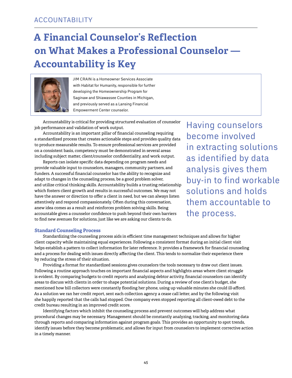## **A Financial Counselor's Reflection on What Makes a Professional Counselor — Accountability is Key**



JIM CRAIN is a Homeowner Services Associate with Habitat for Humanity, responsible for further developing the Homeownership Program for Saginaw and Shiawassee Counties in Michigan, and previously served as a Lansing Financial Empowerment Center counselor.

Accountability is critical for providing structured evaluation of counselor job performance and validation of work output.

Accountability is an important pillar of financial counseling requiring a standardized process that creates actionable steps and provides quality data to produce measurable results. To ensure professional services are provided on a consistent basis, competency must be demonstrated in several areas including subject matter, client/counselor confidentiality, and work output.

Reports can isolate specific data depending on program needs and provide valuable input to counselors, managers, community partners, and funders. A successful financial counselor has the ability to recognize and adapt to changes in the counseling process, be a good problem solver, and utilize critical thinking skills. Accountability builds a trusting relationship which fosters client growth and results in successful outcomes. We may not have the answer or direction to offer a client in need, but we can always listen attentively and respond compassionately. Often during this conversation, anew idea comes as a result and reinforces problem solving skills. Being accountable gives a counselor confidence to push beyond their own barriers to find new avenues for solutions, just like we are asking our clients to do.

Having counselors become involved in extracting solutions as identified by data analysis gives them buy-in to find workable solutions and holds them accountable to the process.

#### **Standard Counseling Process**

Standardizing the counseling process aids in efficient time management techniques and allows for higher client capacity while maintaining equal experiences. Following a consistent format during an initial client visit helps establish a pattern to collect information for later reference. It provides a framework for financial counseling and a process for dealing with issues directly affecting the client. This tends to normalize their experience there by reducing the stress of their situation.

Providing a format for standardized sessions gives counselors the tools necessary to draw out client issues. Following a routine approach touches on important financial aspects and highlights areas where client struggle is evident. By comparing budgets to credit reports and analyzing debtor activity, financial counselors can identify areas to discuss with clients in order to shape potential solutions. During a review of one client's budget, she mentioned how bill collectors were constantly flooding her phone, using up valuable minutes she could ill-afford. As a solution we ran her credit report, sent each collection agency a cease call letter, and by the following visit she happily reported that the calls had stopped. One company even stopped reporting all client-owed debt to the credit bureau resulting in an improved credit score.

Identifying factors which inhibit the counseling process and prevent outcomes will help address what procedural changes may be necessary. Management should be constantly analyzing, tracking, and monitoring data through reports and comparing information against program goals. This provides an opportunity to spot trends, identify issues before they become problematic, and allows for input from counselors to implement corrective action in a timely manner.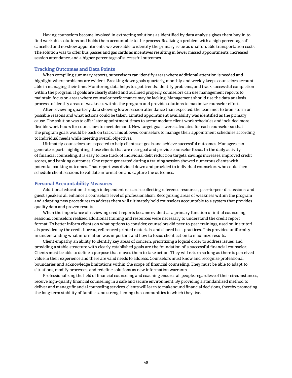Having counselors become involved in extracting solutions as identified by data analysis gives them buy-in to find workable solutions and holds them accountable to the process. Realizing a problem with a high percentage of cancelled and no-show appointments, we were able to identify the primary issue as unaffordable transportation costs. The solution was to offer bus passes and gas cards as incentives resulting in fewer missed appointments, increased session attendance, and a higher percentage of successful outcomes.

#### **Tracking Outcomes and Data Points**

When compiling summary reports, supervisors can identify areas where additional attention is needed and highlight where problems are evident. Breaking down goals quarterly, monthly, and weekly keeps counselors accountable in managing their time. Monitoring data helps to spot trends, identify problems, and track successful completion within the program. If goals are clearly stated and outlined properly, counselors can use management reports to maintain focus on areas where counselor performance may be lacking. Management should use the data analysis process to identify areas of weakness within the program and provide solutions to maximize counselor effort.

After reviewing quarterly data showing lower session attendance than expected, the team met to brainstorm on possible reasons and what actions could be taken. Limited appointment availability was identified as the primary cause. The solution was to offer later appointment times to accommodate client work schedules and included more flexible work hours for counselors to meet demand. New target goals were calculated for each counselor so that the program goals would be back on track. This allowed counselors to manage their appointment schedules according to individual needs while meeting overall objectives.

Ultimately, counselors are expected to help clients set goals and achieve successful outcomes. Managers can generate reports highlighting those clients that are near goal and provide counselor focus. In the daily activity of financial counseling, it is easy to lose track of individual debt reduction targets, savings increases, improved credit scores, and banking outcomes. One report generated during a training session showed numerous clients with potential banking outcomes. That report was divided down and provided to individual counselors who could then schedule client sessions to validate information and capture the outcomes.

#### **Personal Accountability Measures**

Additional education through independent research, collecting reference resources, peer-to-peer discussions, and guest speakers all enhance a counselor's level of professionalism. Recognizing areas of weakness within the program and adapting new procedures to address them will ultimately hold counselors accountable to a system that provides quality data and proven results.

When the importance of reviewing credit reports became evident as a primary function of initial counseling sessions, counselors realized additional training and resources were necessary to understand the credit report format. To better inform clients on what options to consider, counselors did peer-to-peer trainings, used online tutorials provided by the credit bureau, referenced printed materials, and shared best practices. This provided uniformity in understanding what information was important and how to focus client action to maximize results.

Client empathy, an ability to identify key areas of concern, prioritizing a logical order to address issues, and providing a stable structure with clearly established goals are the foundation of a successful financial counselor. Clients must be able to define a purpose that moves them to take action. They will return so long as there is perceived value in their experience and there are valid needs to address. Counselors must know and recognize professional boundaries and acknowledge limitations within the scope of financial counseling. They must be able to adapt to situations, modify processes, and redefine solutions as new information warrants.

Professionalizing the field of financial counseling and coaching ensures all people, regardless of their circumstances, receive high-quality financial counseling in a safe and secure environment. By providing a standardized method to deliver and manage financial counseling services, clients will learn to make sound financial decisions, thereby promoting the long-term stability of families and strengthening the communities in which they live.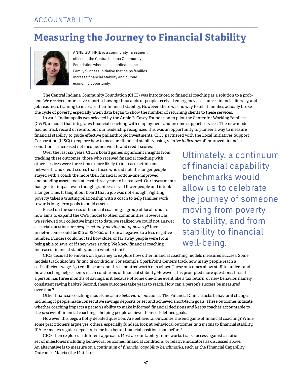### ACCOUNTABILITY

## **Measuring the Journey to Financial Stability**



ANNE GUTHRIE is a community investment officer at the Central Indiana Community Foundation where she coordinates the Family Success Initiative that helps families increase financial stability and pursue economic opportunity.

The Central Indiana Community Foundation (CICF) was introduced to financial coaching as a solution to a problem. We received impressive reports showing thousands of people received emergency assistance, financial literacy, and job readiness training to increase their financial stability. However, there was no way to tell if families actually broke the cycle of poverty, especially when data began to show the number of returning clients to these services.

In 2006, Indianapolis was selected by the Annie E. Casey Foundation to pilot the Center for Working Families (CWF), a model that integrates financial coaching with employment and income support services. The new model had no track record of results, but our leadership recognized this was an opportunity to pioneer a way to measure financial stability to guide effective philanthropic investments. CICF partnered with the Local Initiatives Support Corporation (LISC) to explore how to measure financial stability using *relative indicators* of improved financial conditions – increased net income, net worth, and credit scores.

Over the last six years, CICF's board gained significant insights from tracking these outcomes: those who received financial coaching with other services were three times more likely to increase net-income, net-worth, and credit scores than those who did not; the longer people stayed with a coach the more their financial bottom-line improved; and building assets took at least three years to be realized. Our investments had greater impact even though grantees served fewer people and it took a longer time. It taught our board that a job was not enough. Fighting poverty takes a trusting relationship with a coach to help families work towards long-term goals to build assets.

Based on the success of financial coaching, a group of local funders now aims to expand the CWF model to other communities. However, as we reviewed our collective impact to date, we realized we could not answer a crucial question: *are people actually moving out of poverty?* Increases in net-income could be \$10 or \$10,000, or from a negative to a less negative number. Funders could not tell how close, or far away, people were from being able to save, or if they were saving. We knew financial coaching increased financial stability, but to what extent?

Ultimately, a continuum of financial capability benchmarks would allow us to celebrate the journey of someone moving from poverty to stability, and from stability to financial well-being.

CICF decided to embark on a journey to explore how other financial coaching models measured success. Some models track *absolute financial conditions*. For example, SparkPoint Centers track how many people reach a self-sufficient wage, 650 credit score, and three months' worth of savings. These outcomes allow staff to understand how coaching helps clients reach conditions of financial stability. However, this prompted more questions: first, if a person has three months of savings, is it because of some one-time event like a tax return, or new behavior, namely, consistent saving habits? Second, these outcomes take years to reach. How can a person's success be measured over time?

Other financial coaching models measure *behavioral outcomes*. The Financial Clinic tracks behavioral changes including if people made consecutive savings deposits or set and achieved short-term goals. These outcomes indicate whether coaching impacts a person's ability to make informed financial decisions and keeps coaches accountable to the *process* of financial coaching—helping people achieve their self-defined goals.

However, this begs a hotly debated question: Are behavioral outcomes the end game of financial coaching? While some practitioners argue yes, others, especially funders, look at behavioral outcomes *as a means to* financial stability. If Alice makes regular deposits, is she in a better financial position than before?

CICF then explored a different approach. Most accountability frameworks track success against a static set of milestones including behavioral outcomes, financial conditions, or relative indicators as discussed above. An alternative is to measure on a *continuum of financial capability benchmarks*, such as the Financial Capability Outcomes Matrix (the Matrix).<sup>1</sup>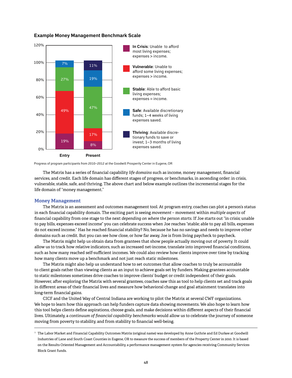#### **Example Money Management Benchmark Scale**



Progress of program participants from 2010–2012 at the Goodwill Prosperity Center in Eugene, OR

The Matrix has a series of financial capability *life domains* such as income, money management, financial services, and credit. Each life domain has different stages of progress, or benchmarks, in ascending order: in crisis, vulnerable, stable, safe, and thriving. The above chart and below example outlines the incremental stages for the life domain of "money management."

#### **Money Management**

The Matrix is an assessment and outcomes management tool. At program entry, coaches can plot a person's status in each financial capability domain. The exciting part is seeing *movement* – movement within *multiple aspects* of financial capability from one stage to the next *depending on where the person starts*. If Joe starts out "in crisis; unable to pay bills, expenses exceed income" you can celebrate success when Joe reaches "stable; able to pay all bills, expenses do not exceed income." Has he reached financial stability? No, because he has no savings and needs to improve other domains such as credit. But you can see how close, or how far away, Joe is from living paycheck to paycheck.

The Matrix might help us obtain data from grantees that show people actually moving out of poverty. It could allow us to track how relative indicators, such as increased net-income, translate into improved financial conditions, such as how many reached self-sufficient incomes. We could also review how clients improve over time by tracking how many clients move up a benchmark and not just reach static milestones.

The Matrix might also help us understand how to set outcomes that allow coaches to truly be accountable to client goals rather than viewing clients as an input to achieve goals set by funders. Making grantees accountable to static milestones sometimes drive coaches to improve clients' budget or credit independent of their goals. However, after exploring the Matrix with several grantees, coaches saw this as tool to help clients set and track goals in different areas of their financial lives and measure how behavioral change and goal attainment translates into long-term financial gains.

CICF and the United Way of Central Indiana are working to pilot the Matrix at several CWF organizations. We hope to learn how this approach can help funders capture data showing movements. We also hope to learn how this tool helps clients define aspirations, choose goals, and make decisions within different aspects of their financial lives. Ultimately, a *continuum of financial capability benchmarks* would allow us to celebrate the journey of someone moving from poverty to stability, and from stability to financial well-being.

 $^{\rm 1}$  The Labor Market and Financial Capability Outcomes Matrix (original name) was developed by Anne Guthrie and Ed Durkee at Goodwill Industries of Lane and South Coast Counties in Eugene, OR to measure the success of members of the Property Center in 2010. It is based on the Results Oriented Management and Accountability, a performance management system for agencies receiving Community Services Block Grant funds.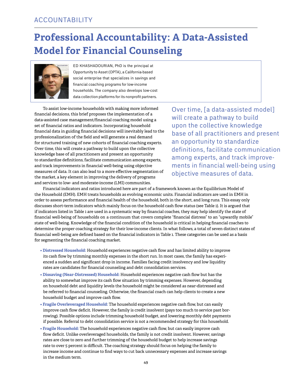## **Professional Accountability: A Data-Assisted Model for Financial Counseling**



Ed Khashadourian, PhD is the principal at Opportunity to Asset (OPTA), a California-based social enterprise that specializes in savings and financial coaching programs for low-income households. The company also develops low-cost data collection platforms for its nonprofit partners.

To assist low-income households with making more informed financial decisions, this brief proposes the implementation of a data-assisted case management/financial coaching model using a set of financial ratios and indicators. Incorporating household financial data in guiding financial decisions will inevitably lead to the professionalization of the field and will generate a real demand for structured training of new cohorts of financial coaching experts. Over time, this will create a pathway to build upon the collective knowledge base of all practitioners and present an opportunity to standardize definitions, facilitate communication among experts, and track improvements in financial well-being using objective measures of data. It can also lead to a more effective segmentation of the market, a key element in improving the delivery of programs and services to low- and moderate-income (LMI) communities.

Over time, [a data-assisted model] will create a pathway to build upon the collective knowledge base of all practitioners and present an opportunity to standardize definitions, facilitate communication among experts, and track improvements in financial well-being using objective measures of data.

Financial indicators and ratios introduced here are part of a framework known as the Equilibrium Model of the Household (EMH). EMH treats households as evolving economic units. Financial indicators are used in EMH in order to assess performance and financial health of the household, both in the short, and long runs. This essay only discusses short-term indicators which mainly focus on the household cash flow status (see Table 1). It is argued that if indicators listed in Table 1 are used in a systematic way by financial coaches, they may help identify the state of financial well-being of households on a continuum that covers complete "financial distress" to an "upwardly mobile" state of well-being. Knowledge of the financial condition of the household is critical in helping financial coaches to determine the proper coaching strategy for their low-income clients. In what follows, a total of seven distinct states of financial well-being are defined based on the financial indicators in Table 1. These categories can be used as a basis for segmenting the financial coaching market.

- **• Distressed Household:** Household experiences negative cash flow and has limited ability to improve its cash flow by trimming monthly expenses in the short run. In most cases, the family has experienced a sudden and significant drop in income. Families facing credit insolvency and low liquidity rates are candidates for financial counseling and debt consolidation services.
- **• Dissaving (Near-Distressed) Household:** Household experiences negative cash flow but has the ability to somewhat improve its cash flow situation by trimming expenses. However, depending on household debt and liquidity levels the household might be considered as near-distressed and be referred to financial counseling. Otherwise, the financial coach can help clients to create a new household budget and improve cash flow.
- **• Fragile Overleveraged Household:** The household experiences negative cash flow, but can easily improve cash flow deficit. However, the family is credit insolvent (pays too much to service past borrowing). Possible options include trimming household budget, and lowering monthly debt payments if possible. Referral to debt consolidation service is not a recommended strategy for this household.
- **• Fragile Household:** The household experiences negative cash flow, but can easily improve cash flow deficit. Unlike overleveraged households, the family is not credit insolvent. However, savings rates are close to zero and further trimming of the household budget to help increase savings rate to over 5 percent is difficult. The coaching strategy should focus on helping the family to increase income and continue to find ways to cut back unnecessary expenses and increase savings in the medium term.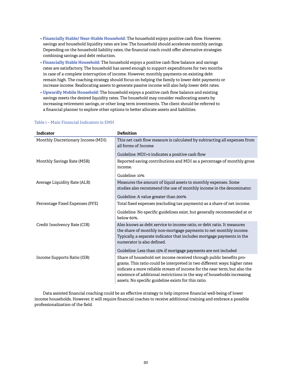- **Financially Stable/ Near-Stable Household:** The household enjoys positive cash flow. However, savings and household liquidity rates are low. The household should accelerate monthly savings. Depending on the household liability rates, the financial coach could offer alternative strategies combining savings and debt reduction.
- **Financially Stable Household:** The household enjoys a positive cash flow balance and savings rates are satisfactory. The household has saved enough to support expenditures for two months in case of a complete interruption of income. However, monthly payments on existing debt remain high. The coaching strategy should focus on helping the family to lower debt payments or increase income. Reallocating assets to generate passive income will also help lower debt rates.
- **Upwardly Mobile Household:** The household enjoys a positive cash flow balance and existing savings meets the desired liquidity rates. The household may consider reallocating assets by increasing retirement savings, or other long term investments. The client should be referred to a financial planner to explore other options to better allocate assets and liabilities.

| Indicator                          | Definition                                                                                                                                                                                                                                                                                                                                                         |
|------------------------------------|--------------------------------------------------------------------------------------------------------------------------------------------------------------------------------------------------------------------------------------------------------------------------------------------------------------------------------------------------------------------|
| Monthly Discretionary Income (MDI) | This net cash flow measure is calculated by subtracting all expenses from<br>all forms of Income                                                                                                                                                                                                                                                                   |
|                                    | Guideline: MDI>0 indicates a positive cash flow                                                                                                                                                                                                                                                                                                                    |
| Monthly Savings Rate (MSR)         | Reported saving contributions and MDI as a percentage of monthly gross<br>income.                                                                                                                                                                                                                                                                                  |
|                                    | Guideline: 10%                                                                                                                                                                                                                                                                                                                                                     |
| Average Liquidity Rate (ALR)       | Measures the amount of liquid assets to monthly expenses. Some<br>studies also recommend the use of monthly income in the denominator.                                                                                                                                                                                                                             |
|                                    | Guideline: A value greater than 200%                                                                                                                                                                                                                                                                                                                               |
| Percentage Fixed Expenses (PFE)    | Total fixed expenses (excluding tax payments) as a share of net income.                                                                                                                                                                                                                                                                                            |
|                                    | Guideline: No specific guidelines exist, but generally recommended at or<br>below 60%.                                                                                                                                                                                                                                                                             |
| Credit Insolvency Rate (CIR)       | Also knows as debt service to income ratio, or debt ratio. It measures<br>the share of monthly non-mortgage payments to net monthly income.<br>Typically, a separate indicator that includes mortgage payments in the<br>numerator is also defined.                                                                                                                |
|                                    | Guideline: Less than 15% if mortgage payments are not included                                                                                                                                                                                                                                                                                                     |
| Income Supports Ratio (ISR)        | Share of household net income received through public benefits pro-<br>grams. This ratio could be interpreted in two different ways; higher rates<br>indicate a more reliable stream of income for the near term, but also the<br>existence of additional restrictions in the way of households increasing<br>assets. No specific guideline exists for this ratio. |

#### Table 1 – Main Financial Indicators in EMH

Data assisted financial coaching could be an effective strategy to help improve financial well-being of lower income households. However, it will require financial coaches to receive additional training and embrace a possible professionalization of the field.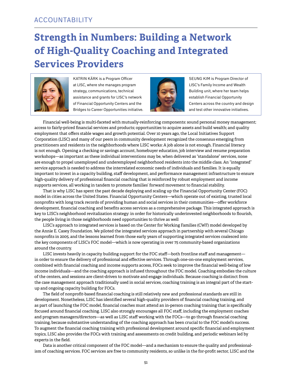## **Strength in Numbers: Building a Network of High-Quality Coaching and Integrated Services Providers**



KATRIN KÄRK is a Program Officer at LISC, where she manages program strategy, communications, technical assistance and grants for LISC's network of Financial Opportunity Centers and the Bridges to Career Opportunities initiative.



SEUNG KIM is Program Director of LISC's Family Income and Wealth Building unit, where her team helps establish Financial Opportunity Centers across the country and design and test other innovative initiatives.

Financial well-being is multi-faceted with mutually-reinforcing components: sound personal money management; access to fairly-priced financial services and products; opportunities to acquire assets and build wealth; and quality employment that offers stable wages and growth potential. Over 10 years ago, the Local Initiatives Support Corporation (LISC) and many of our peers in community development recognized the consensus emerging from practitioners and residents in the neighborhoods where LISC works: A job alone is not enough. Financial literacy is not enough. Opening a checking or savings account, homebuyer education, job interview and resume preparation workshops—as important as these individual interventions may be, when delivered as "standalone" services, none are enough to propel unemployed and underemployed neighborhood residents into the middle class. An "integrated" service approach is needed to address the interrelated economic needs of individuals and families. It is equally important to invest in a capacity building, staff development, and performance management infrastructure to ensure high-quality delivery of professional financial coaching that is reinforced by robust employment and income supports services, all working in tandem to promote families' forward movement to financial stability.

That is why LISC has spent the past decade deploying and scaling up the Financial Opportunity Center (FOC) model in cities across the United States. Financial Opportunity Centers—which operate out of existing, trusted local nonprofits with long track records of providing human and social services in their communities—offer workforce development, financial coaching and benefits access services as a comprehensive package. This integrated approach is key to LISC's neighborhood revitalization strategy: in order for historically underinvested neighborhoods to flourish, the people living in those neighborhoods need opportunities to thrive as well

LISC's approach to integrated services is based on the Center for Working Families (CWF) model developed by the Annie E. Casey Foundation. We piloted the integrated services approach in partnership with several Chicago nonprofits in 2005, and the lessons learned from those early years of supporting integrated services coalesced into the key components of LISC's FOC model—which is now operating in over 75 community-based organizations around the country.

LISC invests heavily in capacity building support for the FOC staff—both frontline staff and management in order to ensure the delivery of professional and effective services. Through one-on-one employment services, combined with financial coaching and income supports access, FOCs seek to improve the financial well-being of low income individuals—and the coaching approach is infused throughout the FOC model. Coaching embodies the culture of the centers, and sessions are client-driven to motivate and engage individuals. Because coaching is distinct from the case management approach traditionally used in social services, coaching training is an integral part of the startup and ongoing capacity building for FOCs.

The field of nonprofit-based financial coaching is still relatively new and professional standards are still in development. Nonetheless, LISC has identified several high-quality providers of financial coaching training, and as part of launching the FOC model, financial coaches must attend an in-person coaching training that is specifically focused around financial coaching. LISC also strongly encourages all FOC staff, including the employment coaches and program managers/directors—as well as LISC staff working with the FOCs—to go through financial coaching training, because substantive understanding of the coaching approach has been crucial to the FOC model's success. To augment the financial coaching training with professional development around specific financial and employment topics, LISC also provides the FOCs with training and assessments on credit building, and periodic webinars led by experts in the field.

Data is another critical component of the FOC model—and a mechanism to ensure the quality and professionalism of coaching services. FOC services are free to community residents, so unlike in the for-profit sector, LISC and the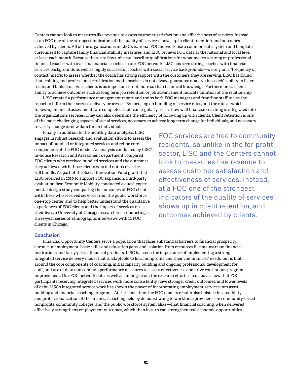Centers cannot look to measures like revenue to assess customer satisfaction and effectiveness of services. Instead, at an FOC one of the strongest indicators of the quality of services shows up in client retention, and outcomes achieved by clients. All of the organizations in LISC's national FOC network use a common data system and template customized to capture family financial stability measures, and LISC reviews FOC data at the national and local level at least each month. Because there are few universal baseline qualifications for what makes a strong or professional financial coach-- with over 100 financial coaches in our FOC network, LISC has seen strong coaches with financial services backgrounds as well as highly successful coaches with social service backgrounds—we rely on a "frequency of contact" metric to assess whether the coach has strong rapport with the customers they are serving. LISC has found that training and professional certification by themselves do not always guarantee quality; the coach's ability to listen, relate, and build trust with clients is as important if not more so than technical knowledge. Furthermore, a client's ability to achieve outcomes such as long term job retention or job advancement indicate duration of the relationship.

LISC created a performance management report and trains both FOC managers and frontline staff to use the report to inform their service delivery processes. By focusing on bundling of service rates, and the rate at which follow-up financial assessments are completed, staff can regularly assess how well financial coaching is integrated into the organization's services. They can also determine the efficiency of following up with clients. Client retention is one of the most challenging aspects of social services, necessary to achieve long term change for individuals, and necessary to verify change or new data for an individual.

Finally, in addition to the monthly data analyses, LISC engages in robust research and evaluation efforts to assess the impact of bundled or integrated services and refine core components of the FOC model. An analysis conducted by LISC's in-house Research and Assessment department compared FOC clients who received bundled services and the outcomes they achieved with those clients who did not receive the full bundle. As part of the Social Innovation Fund grant that LISC received in 2010 to support FOC expansion, third-party evaluation firm Economic Mobility conducted a quasi-experimental design study comparing the outcomes of FOC clients with those who received services from the public workforce one-stop center; and to help better understand the qualitative experiences of FOC clients and the impact of services on their lives, a University of Chicago researcher is conducting a three-year series of ethnographic interviews with 12 FOC clients in Chicago.

FOC services are free to community residents, so unlike in the for-profit sector, LISC and the Centers cannot look to measures like revenue to assess customer satisfaction and effectiveness of services. Instead, at a FOC one of the strongest indicators of the quality of services shows up in client retention, and outcomes achieved by clients.

#### **Conclusion**

Financial Opportunity Centers serve a population that faces substantial barriers to financial prosperity: chronic unemployment, basic skills and education gaps, and isolation from resources like mainstream financial institutions and fairly-priced financial products. LISC has seen the importance of implementing a strong integrated service delivery model that is adaptable to local nonprofits and their communities' needs, but is built around the core components of coaching, initial capacity building and ongoing professional development for staff, and use of data and common performance measures to assess effectiveness and drive continuous program improvement. Our FOC network data as well as findings from the research efforts cited above show that FOC participants receiving integrated services work more consistently, have stronger credit outcomes, and lower levels of debt. LISC's integrated service work has shown the power of incorporating employment services into asset building and financial coaching programs. At the same time, the FOC model's results also bolster the credibility and professionalization of the financial coaching field by demonstrating to workforce providers—in community-based nonprofits, community colleges, and the public workforce system alike—that financial coaching, when delivered effectively, strengthens employment outcomes, which then in turn can strengthen real economic opportunities.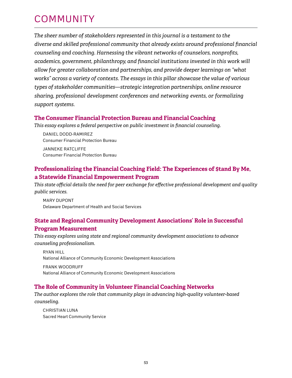## **COMMUNITY**

*The sheer number of stakeholders represented in this journal is a testament to the diverse and skilled professional community that already exists around professional financial counseling and coaching. Harnessing the vibrant networks of counselors, nonprofits, academics, government, philanthropy, and financial institutions invested in this work will allow for greater collaboration and partnerships, and provide deeper learnings on "what works" across a variety of contexts. The essays in this pillar showcase the value of various types of stakeholder communities—strategic integration partnerships, online resource sharing, professional development conferences and networking events, or formalizing support systems.* 

### **The Consumer Financial Protection Bureau and Financial Coaching**

*This essay explores a federal perspective on public investment in financial counseling.* 

Daniel Dodd-Ramirez Consumer Financial Protection Bureau Janneke Ratcliffe Consumer Financial Protection Bureau

### **Professionalizing the Financial Coaching Field: The Experiences of \$tand By Me, a Statewide Financial Empowerment Program**

*This state official details the need for peer exchange for effective professional development and quality public services.*

Mary Dupont Delaware Department of Health and Social Services

### **State and Regional Community Development Associations' Role in Successful Program Measurement**

*This essay explores using state and regional community development associations to advance counseling professionalism.*

Ryan Hill National Alliance of Community Economic Development Associations Frank Woodruff National Alliance of Community Economic Development Associations

### **The Role of Community in Volunteer Financial Coaching Networks**

*The author explores the role that community plays in advancing high-quality volunteer-based counseling.*

CHRISTIAN LUNA Sacred Heart Community Service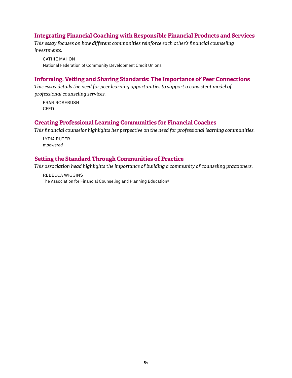### **Integrating Financial Coaching with Responsible Financial Products and Services**

*This essay focuses on how different communities reinforce each other's financial counseling investments.*

**CATHIE MAHON** National Federation of Community Development Credit Unions

### **Informing, Vetting and Sharing Standards: The Importance of Peer Connections**

*This essay details the need for peer learning opportunities to support a consistent model of professional counseling services.*

Fran Rosebush CFED

### **Creating Professional Learning Communities for Financial Coaches**

*This financial counselor highlights her perpective on the need for professional learning communities.*

 Lydia Ruter m*powered*

### **Setting the Standard Through Communities of Practice**

*This association head highlights the importance of building a community of counseling practioners.*

Rebecca Wiggins The Association for Financial Counseling and Planning Education®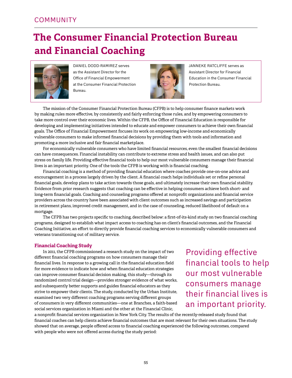## **The Consumer Financial Protection Bureau and Financial Coaching**



Daniel Dodd-Ramirez serves as the Assistant Director for the Office of Financial Empowerment at the Consumer Financial Protection Bureau.



Janneke Ratcliffe serves as Assistant Director for Financial Education in the Consumer Financial Protection Bureau.

The mission of the Consumer Financial Protection Bureau (CFPB) is to help consumer finance markets work by making rules more effective, by consistently and fairly enforcing those rules, and by empowering consumers to take more control over their economic lives. Within the CFPB, the Office of Financial Education is responsible for developing and implementing initiatives intended to educate and empower consumers to achieve their own financial goals. The Office of Financial Empowerment focuses its work on empowering low-income and economically vulnerable consumers to make informed financial decisions by providing them with tools and information and promoting a more inclusive and fair financial marketplace.

For economically vulnerable consumers who have limited financial resources, even the smallest financial decisions can have consequences. Financial instability can contribute to extreme stress and health issues, and can also put stress on family life. Providing effective financial tools to help our most vulnerable consumers manage their financial lives is an important priority. One of the tools the CFPB is working with is financial coaching.

Financial coaching is a method of providing financial education where coaches provide one-on-one advice and encouragement in a process largely driven by the client. A financial coach helps individuals set or refine personal financial goals, develop plans to take action towards those goals, and ultimately increase their own financial stability. Evidence from prior research suggests that coaching can be effective in helping consumers achieve both short- and long-term financial goals. Coaching and counseling programs offered at nonprofit organizations and financial service providers across the country have been associated with client outcomes such as increased savings and participation in retirement plans, improved credit management, and in the case of counseling, reduced likelihood of default on a mortgage.

The CFPB has two projects specific to coaching, described below: a first-of-its-kind study on two financial coaching programs, designed to establish what impact access to coaching has on client's financial outcomes, and the Financial Coaching Initiative, an effort to directly provide financial coaching services to economically vulnerable consumers and veterans transitioning out of military service.

#### **Financial Coaching Study**

In 2011, the CFPB commissioned a research study on the impact of two different financial coaching programs on how consumers manage their financial lives. In response to a growing call in the financial education field for more evidence to indicate how and when financial education strategies can improve consumer financial decision making, this study—through its randomized control trial design—provides stronger evidence of what works, and subsequently better supports and guides financial educators as they strive to empower their clients. The study, conducted by the Urban Institute, examined two very different coaching programs serving different groups of consumers in very different communities—one at Branches, a faith-based social services organization in Miami and the other at the Financial Clinic,

Providing effective financial tools to help our most vulnerable consumers manage their financial lives is an important priority.

a nonprofit financial services organization in New York City. The results of the recently-released study found that financial coaches can help clients achieve financial outcomes that are most relevant for their own situations. The study showed that on average, people offered access to financial coaching experienced the following outcomes, compared with people who were not offered access during the study period: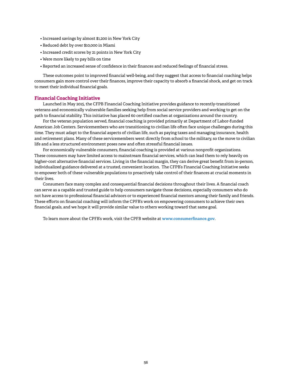- Increased savings by almost \$1,200 in New York City
- Reduced debt by over \$10,000 in Miami
- Increased credit scores by 21 points in New York City
- Were more likely to pay bills on time
- Reported an increased sense of confidence in their finances and reduced feelings of financial stress.

These outcomes point to improved financial well-being, and they suggest that access to financial coaching helps consumers gain more control over their finances, improve their capacity to absorb a financial shock, and get on track to meet their individual financial goals.

#### **Financial Coaching Initiative**

Launched in May 2015, the CFPB Financial Coaching Initiative provides guidance to recently-transitioned veterans and economically vulnerable families seeking help from social service providers and working to get on the path to financial stability. This initiative has placed 60 certified coaches at organizations around the country.

For the veteran population served, financial coaching is provided primarily at Department of Labor-funded American Job Centers. Servicemembers who are transitioning to civilian life often face unique challenges during this time. They must adapt to the financial aspects of civilian life, such as paying taxes and managing insurance, health and retirement plans. Many of these servicemembers went directly from school to the military, so the move to civilian life and a less structured environment poses new and often stressful financial issues.

For economically vulnerable consumers, financial coaching is provided at various nonprofit organizations. These consumers may have limited access to mainstream financial services, which can lead them to rely heavily on higher-cost alternative financial services. Living in the financial margin, they can derive great benefit from in-person, individualized guidance delivered at a trusted, convenient location. The CFPB's Financial Coaching Initiative seeks to empower both of these vulnerable populations to proactively take control of their finances at crucial moments in their lives.

Consumers face many complex and consequential financial decisions throughout their lives. A financial coach can serve as a capable and trusted guide to help consumers navigate those decisions, especially consumers who do not have access to professional financial advisors or to experienced financial mentors among their family and friends. These efforts on financial coaching will inform the CPFB's work on empowering consumers to achieve their own financial goals, and we hope it will provide similar value to others working toward that same goal.

To learn more about the CPFB's work, visit the CPFB website at **<www.consumerfinance.gov>**.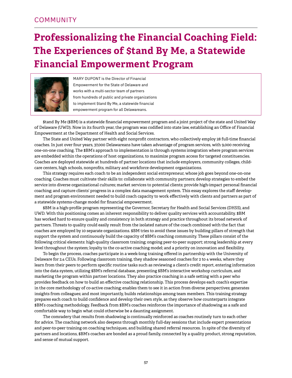## **Professionalizing the Financial Coaching Field: The Experiences of \$tand By Me, a Statewide Financial Empowerment Program**



MARY DUPONT is the Director of Financial Empowerment for the State of Delaware and works with a multi-sector team of partners from hundreds of public and private organizations to implement \$tand By Me, a statewide financial empowerment program for all Delawareans.

\$tand By Me (\$BM) is a statewide financial empowerment program and a joint project of the state and United Way of Delaware (UWD). Now in its fourth year, the program was codified into state law, establishing an Office of Financial Empowerment at the Department of Health and Social Services.

The State and United Way partner with eight nonprofit contractors, who collectively employ 28 full-time financial coaches. In just over four years, 37,000 Delawareans have taken advantage of program services, with 9,000 receiving one-on-one coaching. The \$BM's approach to implementation is through systems integration where program services are embedded within the operations of host organizations, to maximize program access for targeted constituencies. Coaches are deployed statewide at hundreds of partner locations that include employers, community colleges, childcare centers, high schools, nonprofits, military and workforce development organizations.

This strategy requires each coach to be an independent social entrepreneur, whose job goes beyond one-on-one coaching. Coaches must cultivate their skills to: collaborate with community partners; develop strategies to embed the service into diverse organizational cultures; market services to potential clients; provide high-impact personal financial coaching; and capture clients' progress in a complex data management system. This essay explores the staff development and program environment needed to build coach capacity to work effectively with clients and partners as part of a statewide systems-change model for financial empowerment.

\$BM is a high-profile program representing the Governor, Secretary for Health and Social Services (DHSS), and UWD. With this positioning comes an inherent responsibility to deliver quality services with accountability. \$BM has worked hard to ensure quality and consistency in both strategy and practice throughout its broad network of partners. Threats to quality could easily result from the isolated nature of the coach combined with the fact that coaches are employed by 10 separate organizations. \$BM tries to avoid these issues by building pillars of strength that support the system and continuously build the capacity of \$BM's coaching community. These pillars consist of the following critical elements: high-quality classroom training; ongoing peer-to-peer support; strong leadership at every level throughout the system; loyalty to the co-active coaching model; and a priority on innovation and flexibility.

To begin the process, coaches participate in a week-long training offered in partnership with the University of Delaware for 2.4 CEUs. Following classroom training, they shadow seasoned coaches for 2 to 4 weeks, where they learn from their peers to perform specific routine tasks such as reviewing a client's credit report, entering information into the data system, utilizing \$BM's referral database, presenting \$BM's interactive workshop curriculum, and marketing the program within partner locations. They also practice coaching in a safe setting with a peer who provides feedback on how to build an effective coaching relationship. This process develops each coach's expertise in the core methodology of co-active coaching; enables them to see it in action from diverse perspectives; generates insights from colleagues; and most importantly, builds relationships among team members. This training strategy prepares each coach to build confidence and develop their own style, as they observe how counterparts integrate \$BM's coaching methodology. Feedback from \$BM's coaches reinforces the importance of shadowing as a safe and comfortable way to begin what could otherwise be a daunting assignment.

The comradery that results from shadowing is continually reinforced as coaches routinely turn to each other for advice. The coaching network also deepens through monthly full-day sessions that include expert presentations and peer-to-peer training on coaching techniques, and building shared referral resources. In spite of the diversity of partners and locations, \$BM's coaches are bonded as a proud family, connected by a quality product, strong reputation, and sense of mutual support.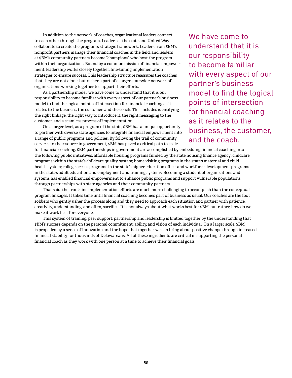In addition to the network of coaches, organizational leaders connect to each other through the program. Leaders at the state and United Way collaborate to create the program's strategic framework. Leaders from \$BM's nonprofit partners manage their financial coaches in the field, and leaders at \$BM's community partners become "champions" who host the program within their organizations. Bound by a common mission of financial empowerment, leadership works closely together, fine-tuning implementation strategies to ensure success. This leadership structure reassures the coaches that they are not alone, but rather a part of a larger statewide network of organizations working together to support their efforts.

As a partnership model, we have come to understand that it is our responsibility to become familiar with every aspect of our partner's business model to find the logical points of intersection for financial coaching as it relates to the business, the customer, and the coach. This includes identifying the right linkage, the right way to introduce it, the right messaging to the customer, and a seamless process of implementation.

On a larger level, as a program of the state, \$BM has a unique opportunity to partner with diverse state agencies to integrate financial empowerment into a range of public programs and policies. By following the trail of community services to their source in government, \$BM has paved a critical path to scale

We have come to understand that it is our responsibility to become familiar with every aspect of our partner's business model to find the logical points of intersection for financial coaching as it relates to the business, the customer, and the coach.

for financial coaching. \$BM partnerships in government are accomplished by embedding financial coaching into the following public initiatives: affordable housing programs funded by the state housing finance agency; childcare programs within the state's childcare quality system; home visiting programs in the state's maternal and child health system; college access programs in the state's higher education office; and workforce development programs in the state's adult education and employment and training systems. Becoming a student of organizations and systems has enabled financial empowerment to enhance public programs and support vulnerable populations through partnerships with state agencies and their community partners.

That said, the front-line implementation efforts are much more challenging to accomplish than the conceptual program linkages. It takes time until financial coaching becomes part of business as usual. Our coaches are the foot soldiers who gently usher the process along and they need to approach each situation and partner with patience, creativity, understanding, and often, sacrifice. It is not always about what works best for \$BM, but rather, how do we make it work best for everyone.

This system of training, peer support, partnership and leadership is knitted together by the understanding that \$BM's success depends on the personal commitment, ability, and vision of each individual. On a larger scale, \$BM is propelled by a sense of innovation and the hope that together we can bring about positive change through increased financial stability for thousands of Delawareans. All of these ingredients are critical in supporting the personal financial coach as they work with one person at a time to achieve their financial goals.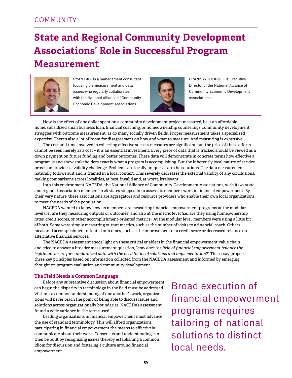## **State and Regional Community Development Associations' Role in Successful Program Measurement**



RYAN HILL is a management consultant focusing on measurement and data issues who regularly collaborates with the National Alliance of Community Economic Development Associations.



Frank Woodruff is Executive Director of the National Alliance of Community Economic Development Associations.

How is the effect of one dollar spent on a community development project measured, be it an affordable home, subsidized small business loan, financial coaching, or homeownership counseling? Community development struggles with outcome measurement, as do many socially driven fields. Proper measurement takes a specialized expertise. There's also a lot of room for disagreement on how and what to measure. And measuring is *expensive*.

The cost and time involved in collecting effective success measures are significant, but the price of these efforts cannot be seen merely as a cost – it is an essential investment. Every piece of data that is tracked should be viewed as a down payment on future funding and better outcomes. These data will demonstrate in concrete terms how effective a program is and show stakeholders exactly what a program is accomplishing. But the inherently local nature of service provision provides a validity challenge. Problems are locally unique, as are the solutions. The data measurement naturally follows suit and is framed in a local context. This severely decreases the external validity of any conclusions; making comparisons across localities, at best, invalid and, at worst, irrelevant.

Into this environment NACEDA, the National Alliance of Community Development Associations, with its 42 state and regional association members in 28 states stepped in to assess its members' work in financial empowerment. By their very nature, these associations are aggregators and resource providers who enable their own local organizations to meet the needs of the population.

NACEDA wanted to know how its members are measuring financial empowerment programs at the modular level (i.e., are they measuring outputs or outcomes) and also at the metric level (i.e., are they using homeownership rates, credit scores, or other accomplishment-oriented metrics). At the modular level, members were using a little bit of both. Some were simply measuring output metrics, such as the number of visits to a financial coach. Others measured accomplishment oriented outcomes, such as the improvement of a credit score or decreased reliance on alternative financial services.

The NACEDA assessment sheds light on these critical enablers in the financial empowerment value chain and tried to answer a broader measurement question, *"how does the field of financial empowerment balance the legitimate desire for standardized data with the need for local solutions and implementation?"* This essay proposes three key principles based on information collected from the NACEDA assessment and informed by emerging thought on program evaluation and community development.

#### **The Field Needs a Common Language**

Before any substantive discussion about financial empowerment can begin the disparity in terminology in the field must be addressed. Without a common understanding of one another's work, organizations will never reach the point of being able to discuss issues and solutions across organizationally boundaries. NACEDA's assessment found a wide variance in the terms used.

Leading organizations in financial empowerment must advance the use of standard terminology. This will afford organizations participating in financial empowerment the means to effectively communicate about their work. Consensus and understanding can then be built by recognizing issues thereby establishing a common idiom for discussion and fostering a culture around financial empowerment.

Broad execution of financial empowerment programs requires tailoring of national solutions to distinct local needs.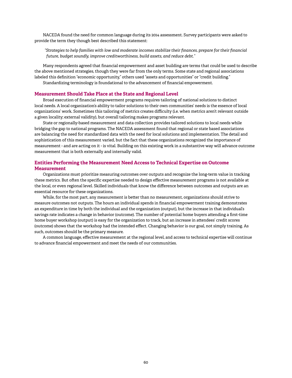NACEDA found the need for common language during its 2014 assessment. Survey participants were asked to provide the term they though best described this statement:

*"Strategies to help families with low and moderate incomes stabilize their finances, prepare for their financial future, budget soundly, improve creditworthiness, build assets, and reduce debt."*

Many respondents agreed that financial empowerment and asset building are terms that could be used to describe the above mentioned strategies, though they were far from the only terms. Some state and regional associations labeled this definition "economic opportunity," others used "assets and opportunities" or "credit building." Standardizing terminology is foundational to the advancement of financial empowerment.

#### **Measurement Should Take Place at the State and Regional Level**

Broad execution of financial empowerment programs requires tailoring of national solutions to distinct local needs. A local organization's ability to tailor solutions to their own communities' needs is the essence of local organizations' work. Sometimes this tailoring of metrics creates difficulty (i.e. when metrics aren't relevant outside a given locality; external validity), but overall tailoring makes programs relevant.

State or regionally-based measurement and data collection provides tailored solutions to local needs while bridging the gap to national programs. The NACEDA assessment found that regional or state based associations are balancing the need for standardized data with the need for local solutions and implementation. The detail and sophistication of this measurement varied, but the fact that these organizations recognized the importance of measurement - and are acting on it - is vital. Building on this existing work in a substantive way will advance outcome measurement that is both externally and internally valid.

#### **Entities Performing the Measurement Need Access to Technical Expertise on Outcome Measurement**

Organizations must prioritize measuring outcomes over outputs and recognize the long-term value in tracking these metrics. But often the specific expertise needed to design effective measurement programs is not available at the local, or even regional level. Skilled individuals that know the difference between outcomes and outputs are an essential resource for these organizations.

While, for the most part, any measurement is better than no measurement, organizations should strive to measure outcomes not outputs. The hours an individual spends in financial empowerment training demonstrates an expenditure in time by both the individual and the organization (output), but the increase in that individual's savings rate indicates a change in behavior (outcome). The number of potential home buyers attending a first-time home buyer workshop (output) is easy for the organization to track, but an increase in attendees' credit scores (outcome) shows that the workshop had the intended effect. Changing behavior is our goal, not simply training. As such, outcomes should be the primary measure.

A common language, effective measurement at the regional level, and access to technical expertise will continue to advance financial empowerment and meet the needs of our communities.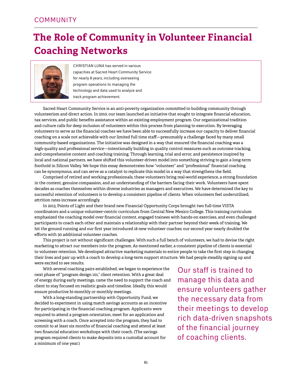## **The Role of Community in Volunteer Financial Coaching Networks**



CHRISTIAN LUNA has served in various capacities at Sacred Heart Community Service for nearly 8 years, including overseeing program operations to managing the technology and data used to analyze and track program achievement.

Sacred Heart Community Service is an anti-poverty organization committed to building community through volunteerism and direct action. In 2010, our team launched an initiative that sought to integrate financial education, tax services, and public benefits assistance within an existing employment program. Our organizational tradition and culture calls for deep inclusion of volunteers within this process from planning to execution. By leveraging volunteers to serve as the financial coaches we have been able to successfully increase our capacity to deliver financial coaching on a scale not achievable with our limited full time staff—presumably a challenge faced by many small community-based organizations. The initiative was designed in a way that ensured the financial coaching was a high-quality and professional service—intentionally building in quality control measures such as outcome tracking, and comprehensive content and coaching training. Through learning, trial and error, and persistence inspired by local and national partners, we have shifted this volunteer-driven model into something striving to gain a long-term foothold in Silicon Valley. We hope this essay demonstrates how "volunteer" and "professional" financial coaching can be synonymous, and can serve as a catalyst to replicate this model in a way that strengthens the field.

Comprised of retired and working professionals, these volunteers bring real-world experience, a strong foundation in the content, genuine compassion, and an understanding of the barriers facing their work. Volunteers have spent decades as coaches themselves within diverse industries as managers and executives. We have determined the key to successful retention of volunteers is to develop a consistent pipeline of clients. When volunteers feel underutilized, attrition rates increase accordingly.

In 2013, Points of Light and their brand new Financial Opportunity Corps brought two full-time VISTA coordinators and a unique volunteer-centric curriculum from Central New Mexico College. This training curriculum emphasized the coaching model over financial content, engaged trainees with hands-on exercises, and even challenged participants to coach each other and maintain a relationship with their partner beyond their week of training. We hit the ground running and our first year introduced 18 new volunteer coaches; our second year nearly doubled the efforts with 30 additional volunteer coaches.

This project is not without significant challenges. With such a full bench of volunteers, we had to devise the right marketing to attract our members into the program. As mentioned earlier, a consistent pipeline of clients is essential to volunteer retention. We developed attractive marketing materials to entice people to take the first step in changing their lives and pair up with a coach to develop a long-term support structure. We had people steadily signing up and were excited to see results.

With several coaching pairs established, we began to experience the next phase of "program design 101," client retention. With a great deal of energy during early meetings, came the need to support the coach and client to stay focused on realistic goals and timeline. Ideally, this would ensure productive bi-monthly or monthly meetings.

With a long-standing partnership with Opportunity Fund, we decided to experiment in using match savings accounts as an incentive for participating in the financial coaching program. Applicants were required to attend a program orientation, meet for an application and screening with a coach. Once accepted into the program, they had to commit to at least six months of financial coaching and attend at least two financial education workshops with their coach. (The savings program required clients to make deposits into a custodial account for a minimum of one year.)

Our staff is trained to manage this data and ensure volunteers gather the necessary data from their meetings to develop rich data-driven snapshots of the financial journey of coaching clients.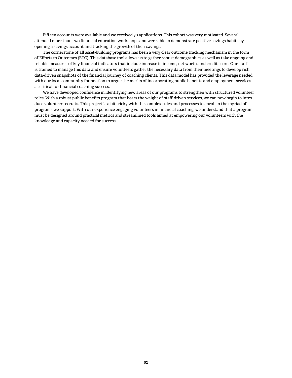Fifteen accounts were available and we received 30 applications. This cohort was very motivated. Several attended more than two financial education workshops and were able to demonstrate positive savings habits by opening a savings account and tracking the growth of their savings.

The cornerstone of all asset-building programs has been a very clear outcome tracking mechanism in the form of Efforts to Outcomes (ETO). This database tool allows us to gather robust demographics as well as take ongoing and reliable measures of key financial indicators that include increase in income, net worth, and credit score. Our staff is trained to manage this data and ensure volunteers gather the necessary data from their meetings to develop rich data-driven snapshots of the financial journey of coaching clients. This data model has provided the leverage needed with our local community foundation to argue the merits of incorporating public benefits and employment services as critical for financial coaching success.

We have developed confidence in identifying new areas of our programs to strengthen with structured volunteer roles. With a robust public benefits program that bears the weight of staff-driven services, we can now begin to introduce volunteer recruits. This project is a bit tricky with the complex rules and processes to enroll in the myriad of programs we support. With our experience engaging volunteers in financial coaching, we understand that a program must be designed around practical metrics and streamlined tools aimed at empowering our volunteers with the knowledge and capacity needed for success.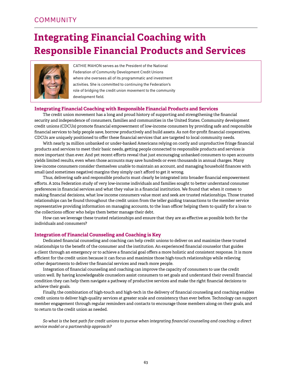## **Integrating Financial Coaching with Responsible Financial Products and Services**



CATHIE MAHON serves as the President of the National Federation of Community Development Credit Unions where she oversees all of its programmatic and investment activities. She is committed to continuing the Federation's role of bridging the credit union movement to the community development field.

#### **Integrating Financial Coaching with Responsible Financial Products and Services**

The credit union movement has a long and proud history of supporting and strengthening the financial security and independence of consumers, families and communities in the United States. Community development credit unions (CDCUs) promote financial empowerment of low-income consumers by providing safe and responsible financial services to help people save, borrow productively and build assets. As not-for-profit financial cooperatives, CDCUs are uniquely positioned to offer these financial services that are targeted to local community needs.

With nearly 34 million unbanked or under-banked Americans relying on costly and unproductive fringe financial products and services to meet their basic needs, getting people connected to responsible products and services is more important than ever. And yet recent efforts reveal that just encouraging unbanked consumers to open accounts yields limited results, even when those accounts may save hundreds or even thousands in annual charges. Many low-income consumers consider themselves unable to maintain an account, and managing household finances with small (and sometimes negative) margins they simply can't afford to get it wrong.

Thus, delivering safe and responsible products must clearly be integrated into broader financial empowerment efforts. A 2014 Federation study of very low-income individuals and families sought to better understand consumer preferences in financial services and what they value in a financial institution. We found that when it comes to making financial decisions, what low income consumers value most and seek are trusted relationships. Those trusted relationships can be found throughout the credit union from the teller guiding transactions to the member service representative providing information on managing accounts, to the loan officer helping them to qualify for a loan to the collections officer who helps them better manage their debt.

How can we leverage these trusted relationships and ensure that they are as effective as possible both for the individuals and consumers?

#### **Integration of Financial Counseling and Coaching is Key**

Dedicated financial counseling and coaching can help credit unions to deliver on and maximize these trusted relationships to the benefit of the consumer and the institution. An experienced financial counselor that guides a client through an emergency or to achieve a financial goal offers a more holistic and consistent response. It is more efficient for the credit union because it can focus and maximize those high-touch relationships while relieving other departments to deliver the financial services and reach more people.

Integration of financial counseling and coaching can improve the capacity of consumers to use the credit union well. By having knowledgeable counselors assist consumers to set goals and understand their overall financial condition they can help them navigate a pathway of productive services and make the right financial decisions to achieve their goals.

Finally, the combination of high-touch and high-tech in the delivery of financial counseling and coaching enables credit unions to deliver high-quality services at greater scale and consistency than ever before. Technology can support member engagement through regular reminders and contacts to encourage those members along on their goals, and to return to the credit union as needed.

*So what is the best path for credit unions to pursue when integrating financial counseling and coaching: a direct service model or a partnership approach?*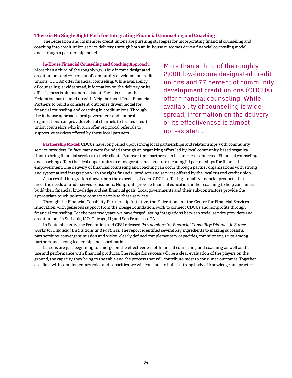#### **There is No Single Right Path for Integrating Financial Counseling and Coaching**

The Federation and its member credit unions are pursuing strategies for incorporating financial counseling and coaching into credit union service delivery through both an in-house outcomes driven financial counseling model and through a partnership model.

#### **In-House Financial Counseling and Coaching Approach:**

More than a third of the roughly 2,000 low-income designated credit unions and 77 percent of community development credit unions (CDCUs) offer financial counseling. While availability of counseling is widespread, information on the delivery or its effectiveness is almost non-existent. For this reason the Federation has teamed up with Neighborhood Trust Financial Partners to build a consistent, outcomes driven model for financial counseling and coaching in credit unions. Through the in-house approach, local government and nonprofit organizations can provide referral channels to trusted credit union counselors who in turn offer reciprocal referrals to supportive services offered by these local partners.

More than a third of the roughly 2,000 low-income designated credit unions and 77 percent of community development credit unions (CDCUs) offer financial counseling. While availability of counseling is widespread, information on the delivery or its effectiveness is almost non-existent.

**Partnership Model:** CDCUs have long relied upon strong local partnerships and relationships with community service providers. In fact, many were founded through an organizing effort led by local community based organizations to bring financial services to their clients. But over time partners can become less connected. Financial counseling and coaching offers the ideal opportunity to reinvigorate and structure meaningful partnerships for financial empowerment. The delivery of financial counseling and coaching can occur through partner organizations with strong and systematized integration with the right financial products and services offered by the local trusted credit union.

A successful integration draws upon the expertise of each. CDCUs offer high-quality financial products that meet the needs of underserved consumers. Nonprofits provide financial education and/or coaching to help consumers build their financial knowledge and set financial goals. Local governments and their sub-contractors provide the appropriate touch-points to connect people to these services.

Through the Financial Capability Partnership Initiative, the Federation and the Center for Financial Services Innovation, with generous support from the Kresge Foundation, work to connect CDCUs and nonprofits through financial counseling. For the past two years, we have forged lasting integrations between social service providers and credit unions in St. Louis, MO; Chicago, IL; and San Francisco, CA.

In September 2015, the Federation and CFSI released *Partnerships for Financial Capability: Diagnostic Frameworks for Financial Institutions and Partners*. The report identified several key ingredients to making successful partnerships: convergent mission and vision, clearly defined complementary capacities, commitment, trust among partners and strong leadership and coordination.

Lessons are just beginning to emerge on the effectiveness of financial counseling and coaching as well as the use and performance with financial products. The recipe for success will be a clear evaluation of the players on the ground, the capacity they bring to the table and the process that will contribute most to consumer outcomes. Together as a field with complementary roles and capacities, we will continue to build a strong body of knowledge and practice.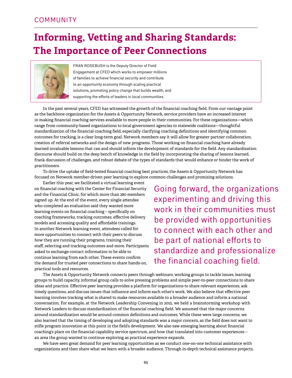## **Informing, Vetting and Sharing Standards: The Importance of Peer Connections**



Fran Rosebush is the Deputy Director of Field Engagement at CFED which works to empower millions of families to achieve financial security and contribute to an opportunity economy through scaling practical solutions, promoting policy change that builds wealth, and supporting the efforts of leaders in local communities.

In the past several years, CFED has witnessed the growth of the financial coaching field. From our vantage point as the backbone organization for the Assets & Opportunity Network, service providers have an increased interest in making financial coaching services available to more people in their communities. For these organizations—which range from community-based organizations to local government agencies to statewide coalitions—thoughtful standardization of the financial coaching field, especially clarifying coaching definitions and identifying common outcomes for tracking, is a clear long-term goal. Network members say it will allow for greater partner collaboration, creation of referral networks and the design of new programs. Those working on financial coaching have already learned invaluable lessons that can and should inform the development of standards for the field. Any standardization discourse should build on the deep bench of knowledge in the field by incorporating the sharing of lessons learned, frank discussion of challenges, and robust debate of the types of standards that would enhance or hinder the work of practitioners.

To drive the uptake of field-tested financial coaching best practices, the Assets & Opportunity Network has focused on Network member-driven peer learning to explore common challenges and promising solutions.

Earlier this year, we facilitated a virtual learning event on financial coaching with the Center for Financial Security and the Financial Clinic, for which more than 280 members signed up. At the end of the event, every single attendee who completed an evaluation said they wanted more learning events on financial coaching – specifically on coaching frameworks, tracking outcomes, effective delivery models and accessing quality and affordable trainings. In another Network learning event, attendees called for more opportunities to connect with their peers to discuss how they are running their programs, training their staff, selecting and tracking outcomes and more. Participants asked to exchange contact information to be able to continue learning from each other. These events confirm the demand for trusted peer connections to share hands-on, practical tools and resources.

Going forward, the organizations experimenting and driving this work in their communities must be provided with opportunities to connect with each other and be part of national efforts to standardize and professionalize the financial coaching field.

The Assets & Opportunity Network connects peers through webinars, working groups to tackle issues, learning groups to build capacity, informal group calls to solve pressing problems and simple peer-to-peer connections to share ideas and practice. Effective peer learning provides a platform for organizations to share relevant experiences, ask timely questions, and discuss issues that influence and inform each other's work. We also believe that effective peer learning involves tracking what is shared to make resources available to a broader audience and inform a national conversation. For example, at the Network Leadership Convening in 2015, we held a brainstorming workshop with Network Leaders to discuss standardization of the financial coaching field. We assumed that the major concerns around standardization would be around common definitions and outcomes. While these were large concerns, we also learned that the timing of developing and adopting standards was a major concern, as the field does not want to stifle program innovation at this point in the field's development. We also saw emerging learning about financial coaching's place on the financial capability service spectrum, and how that translated into customer experiences – an area the group wanted to continue exploring as practical experience expands.

We have seen great demand for peer learning opportunities as we conduct one-on-one technical assistance with organizations and then share what we learn with a broader audience. Through in-depth technical assistance projects,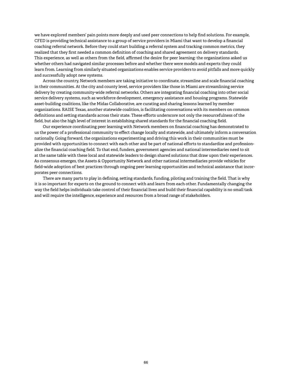we have explored members' pain points more deeply and used peer connections to help find solutions. For example, CFED is providing technical assistance to a group of service providers in Miami that want to develop a financial coaching referral network. Before they could start building a referral system and tracking common metrics, they realized that they first needed a common definition of coaching and shared agreement on delivery standards. This experience, as well as others from the field, affirmed the desire for peer learning: the organizations asked us whether others had navigated similar processes before and whether there were models and experts they could learn from. Learning from similarly situated organizations enables service providers to avoid pitfalls and more quickly and successfully adopt new systems.

Across the country, Network members are taking initiative to coordinate, streamline and scale financial coaching in their communities. At the city and county level, service providers like those in Miami are streamlining service delivery by creating community-wide referral networks. Others are integrating financial coaching into other social service delivery systems, such as workforce development, emergency assistance and housing programs. Statewide asset-building coalitions, like the Midas Collaborative, are curating and sharing lessons learned by member organizations. RAISE Texas, another statewide coalition, is facilitating conversations with its members on common definitions and setting standards across their state. These efforts underscore not only the resourcefulness of the field, but also the high level of interest in establishing shared standards for the financial coaching field.

Our experience coordinating peer learning with Network members on financial coaching has demonstrated to us the power of a professional community to effect change locally and statewide, and ultimately inform a conversation nationally. Going forward, the organizations experimenting and driving this work in their communities must be provided with opportunities to connect with each other and be part of national efforts to standardize and professionalize the financial coaching field. To that end, funders, government agencies and national intermediaries need to sit at the same table with these local and statewide leaders to design shared solutions that draw upon their experiences. As consensus emerges, the Assets & Opportunity Network and other national intermediaries provide vehicles for field-wide adoption of best practices through ongoing peer learning opportunities and technical assistance that incorporates peer connections.

There are many parts to play in defining, setting standards, funding, piloting and training the field. That is why it is so important for experts on the ground to connect with and learn from each other. Fundamentally changing the way the field helps individuals take control of their financial lives and build their financial capability is no small task and will require the intelligence, experience and resources from a broad range of stakeholders.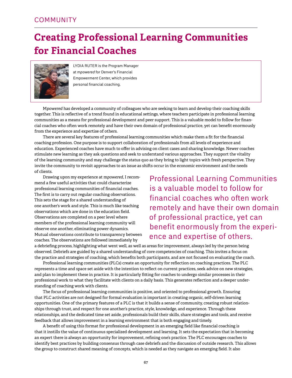## **Creating Professional Learning Communities for Financial Coaches**



LYDIA RUTER is the Program Manager at m*powered* for Denver's Financial Empowerment Center, which provides personal financial coaching.

M*powered* has developed a community of colleagues who are seeking to learn and develop their coaching skills together. This is reflective of a trend found in educational settings, where teachers participate in professional learning communities as a means for professional development and peer support. This is a valuable model to follow for financial coaches who often work remotely and have their own domain of professional practice, yet can benefit enormously from the experience and expertise of others.

There are several key features of professional learning communities which make them a fit for the financial coaching profession. One purpose is to support collaboration of professionals from all levels of experience and education. Experienced coaches have much to offer in advising on client cases and sharing knowledge. Newer coaches stimulate new learning as they ask questions and seek to understand various approaches. They support the vitality of the learning community and may challenge the status quo as they bring to light topics with fresh perspective. They invite the community to revisit approaches to an issue as shifts occur in the economic environment and the needs of clients.

Drawing upon my experience at m*powered*, I recommend a few useful activities that could characterize professional learning communities of financial coaches. The first is to carry out regular coaching observations. This sets the stage for a shared understanding of one another's work and style. This is much like teaching observations which are done in the education field. Observations are completed on a peer level where members of the professional learning community will observe one another, eliminating power dynamics. Mutual observations contribute to transparency between coaches. The observations are followed immediately by

Professional Learning Communities is a valuable model to follow for financial coaches who often work remotely and have their own domain of professional practice, yet can benefit enormously from the experience and expertise of others.

a debriefing process, highlighting what went well, as well as areas for improvement, always led by the person being observed. Debriefs are guided by a shared understanding of core competencies of coaching. This invites a focus on the practice and strategies of coaching, which benefits both participants, and are not focused on evaluating the coach.

Professional learning communities (PLCs) create an opportunity for reflection on coaching practices. The PLC represents a time and space set aside with the intention to reflect on current practices, seek advice on new strategies, and plan to implement these in practice. It is particularly fitting for coaches to undergo similar processes in their professional work to what they facilitate with clients on a daily basis. This generates reflection and a deeper understanding of coaching work with clients.

The focus of professional learning communities is positive, and oriented to professional growth. Ensuring that PLC activities are not designed for formal evaluation is important in creating organic, self-driven learning opportunities. One of the primary features of a PLC is that it builds a sense of community, creating robust relationships through trust, and respect for one another's practice, style, knowledge, and experience. Through these relationships, and the dedicated time set aside, professionals build their skills, share strategies and tools, and receive feedback that allows improvement in a learning environment that is both engaging and timely.

A benefit of using this format for professional development in an emerging field like financial coaching is that it instills the value of continuous specialized development and learning. It sets the expectation that in becoming an expert there is always an opportunity for improvement, refining one's practice. The PLC encourages coaches to identify best practices by building consensus through case debriefs and the discussion of outside research. This allows the group to construct shared meaning of concepts, which is needed as they navigate an emerging field. It also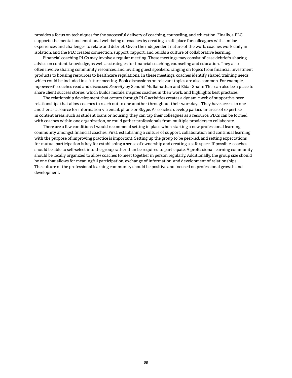provides a focus on techniques for the successful delivery of coaching, counseling, and education. Finally, a PLC supports the mental and emotional well-being of coaches by creating a safe place for colleagues with similar experiences and challenges to relate and debrief. Given the independent nature of the work, coaches work daily in isolation, and the PLC creates connection, support, rapport, and builds a culture of collaborative learning.

Financial coaching PLCs may involve a regular meeting. These meetings may consist of case debriefs, sharing advice on content knowledge, as well as strategies for financial coaching, counseling and education. They also often involve sharing community resources, and inviting guest speakers, ranging on topics from financial investment products to housing resources to healthcare regulations. In these meetings, coaches identify shared training needs, which could be included in a future meeting. Book discussions on relevant topics are also common. For example, m*powered*'s coaches read and discussed *Scarcity* by Sendhil Mullainathan and Eldar Shafir. This can also be a place to share client success stories, which builds morale, inspires coaches in their work, and highlights best practices.

The relationship development that occurs through PLC activities creates a dynamic web of supportive peer relationships that allow coaches to reach out to one another throughout their workdays. They have access to one another as a source for information via email, phone or Skype. As coaches develop particular areas of expertise in content areas, such as student loans or housing, they can tap their colleagues as a resource. PLCs can be formed with coaches within one organization, or could gather professionals from multiple providers to collaborate.

There are a few conditions I would recommend setting in place when starting a new professional learning community amongst financial coaches. First, establishing a culture of support, collaboration and continual learning with the purpose of improving practice is important. Setting up the group to be peer-led, and setting expectations for mutual participation is key for establishing a sense of ownership and creating a safe space. If possible, coaches should be able to self-select into the group rather than be required to participate. A professional learning community should be locally organized to allow coaches to meet together in person regularly. Additionally, the group size should be one that allows for meaningful participation, exchange of information, and development of relationships. The culture of the professional learning community should be positive and focused on professional growth and development.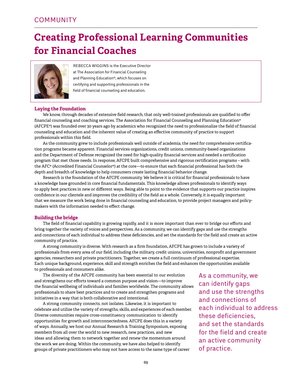## **Creating Professional Learning Communities for Financial Coaches**



Rebecca Wiggins is the Executive Director at The Association for Financial Counseling and Planning Education®, which focuses on certifying and supporting professionals in the field of financial counseling and education.

#### **Laying the Foundation**

We know, through decades of extensive field research, that only well-trained professionals are qualified to offer financial counseling and coaching services. The Association for Financial Counseling and Planning Education® (AFCPE®) was founded over 30 years ago by academics who recognized the need to professionalize the field of financial counseling and education and the inherent value of creating an effective community of practice to support professionals within this field.

As the community grew to include professionals well outside of academia, the need for comprehensive certification programs became apparent. Financial services organizations, credit unions, community-based organizations and the Department of Defense recognized the need for high-quality financial services and needed a certification program that met those needs. In response, AFCPE built comprehensive and rigorous certification programs – with the AFC® (Accredited Financial Counselor®) at the core—to ensure that each financial professional has both the depth and breadth of knowledge to help consumers create lasting financial behavior change.

Research is the foundation of the AFCPE community. We believe it is critical for financial professionals to have a knowledge base grounded in core financial fundamentals. This knowledge allows professionals to identify ways to apply best practices in new or different ways. Being able to point to the evidence that supports our practice inspires confidence in our clientele and improves the credibility of the field as a whole. Conversely, it is equally important that we measure the work being done in financial counseling and education, to provide project managers and policymakers with the information needed to effect change.

#### **Building the bridge**

The field of financial capability is growing rapidly, and it is more important than ever to bridge our efforts and bring together the variety of voices and perspectives. As a community, we can identify gaps and use the strengths and connections of each individual to address these deficiencies, and set the standards for the field and create an active community of practice.

A strong community is diverse. With research as a firm foundation, AFCPE has grown to include a variety of professionals from every area of our field, including the military, credit unions, universities, nonprofit and government agencies, researchers and private practitioners. Together, we create a full continuum of professional expertise. Each unique background, experience, skill and strength enriches the field and enhances the opportunities available to professionals and consumers alike.

The diversity of the AFCPE community has been essential to our evolution and strengthens our efforts toward a common purpose and vision—to improve the financial wellbeing of individuals and families worldwide. The community allows professionals to share best practices and to create and strengthen programs and initiatives in a way that is both collaborative and intentional.

A strong community connects, not isolates. Likewise, it is important to celebrate and utilize the variety of strengths, skills, and experiences of each member. Diverse communities require cross-constituency communication to identify opportunities for growth and interconnectedness. AFCPE does this in a variety of ways. Annually, we host our Annual Research & Training Symposium, exposing members from all over the world to new research, new practices, and new ideas and allowing them to network together and renew the momentum around the work we are doing. Within the community, we have also helped to identify groups of private practitioners who may not have access to the same type of career

As a community, we can identify gaps and use the strengths and connections of each individual to address these deficiencies, and set the standards for the field and create an active community of practice.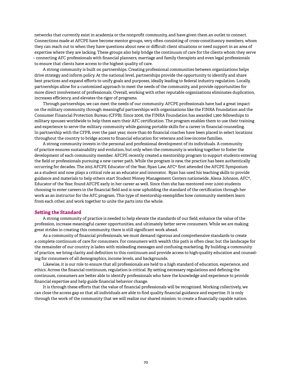networks that currently exist in academia or the nonprofit community, and have given them an outlet to connect. Connections made at AFCPE have become mentor groups, very often consisting of cross-constituency members, whom they can reach out to when they have questions about new or difficult client situations or need support in an area of expertise where they are lacking. These groups also help bridge the continuum of care for the clients whom they serve – connecting AFC professionals with financial planners, marriage and family therapists and even legal professionals to ensure that clients have access to the highest quality of care.

A strong community is built on partnerships. Creating professional communities between organizations helps drive strategy and inform policy. At the national level, partnerships provide the opportunity to identify and share best practices and expand efforts to unify goals and purposes, ideally leading to federal industry regulation. Locally, partnerships allow for a customized approach to meet the needs of the community, and provide opportunities for more direct involvement of professionals. Overall, working with other reputable organizations eliminates duplication, increases efficiency, and elevates the rigor of programs.

Through partnerships, we can meet the needs of our community. AFCPE professionals have had a great impact on the military community through meaningful partnerships with organizations like the FINRA Foundation and the Consumer Financial Protection Bureau (CFPB). Since 2006, the FINRA Foundation has awarded 1,360 fellowships to military spouses worldwide to help them earn their AFC certification. The program enables them to use their training and experience to serve the military community while gaining portable skills for a career in financial counseling. In partnership with the CFPB, over the past year, more than 60 financial coaches have been placed in select locations throughout the country to bridge access to financial education for veterans and low-income families.

A strong community invests in the personal and professional development of its individuals. A community of practice ensures sustainability and evolution, but only when the community is working together to foster the development of each community member. AFCPE recently created a mentorship program to support students entering the field or professionals pursuing a new career path. While the program is new, the practice has been authentically occurring for decades. The 2015 AFCPE Educator of the Year, Ryan Law, AFC® first attended the AFCPE Symposium as a student and now plays a critical role as an educator and innovator. Ryan has used his teaching skills to provide guidance and materials to help others start Student Money Management Centers nationwide. Alena Johnson, AFC®, Educator of the Year, found AFCPE early in her career as well. Since then she has mentored over 2,000 students choosing to enter careers in the financial field and is now upholding the standard of the certification through her work as an instructor for the AFC program. This type of mentorship exemplifies how community members learn from each other, and work together to unite the parts into the whole.

#### **Setting the Standard**

A strong community of practice is needed to help elevate the standards of our field, enhance the value of the profession, increase meaningful career opportunities, and ultimately better serve consumers. While we are making great strides in creating this community, there is still significant work ahead.

As a community of financial professionals, we must demand rigorous and comprehensive standards to create a complete continuum of care for consumers. For consumers with wealth this path is often clear, but the landscape for the remainder of our country is laden with misleading messages and confusing marketing. By building a community of practice, we bring clarity and definition to this continuum and provide access to high-quality education and counseling for consumers of all demographics, income levels, and backgrounds.

Likewise, it is our role to ensure that all professionals are held to a high standard of education, experience, and ethics. Across the financial continuum, regulation is critical. By setting necessary regulations and defining the continuum, consumers are better able to identify professionals who have the knowledge and experience to provide financial expertise and help guide financial behavior change.

It is through these efforts that the value of financial professionals will be recognized. Working collectively, we can close the access gap so that all individuals are able to find quality financial guidance and expertise. It is only through the work of the community that we will realize our shared mission: to create a financially capable nation.